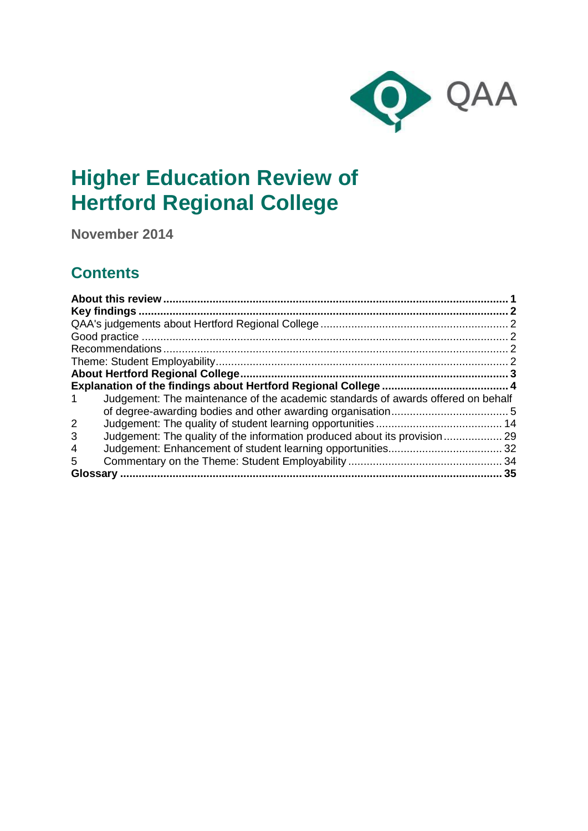

# **Higher Education Review of Hertford Regional College**

**November 2014**

## **Contents**

| Judgement: The maintenance of the academic standards of awards offered on behalf<br>1 |  |
|---------------------------------------------------------------------------------------|--|
|                                                                                       |  |
| $\overline{2}$                                                                        |  |
| Judgement: The quality of the information produced about its provision 29<br>3        |  |
| 4                                                                                     |  |
| 5                                                                                     |  |
| Glossary                                                                              |  |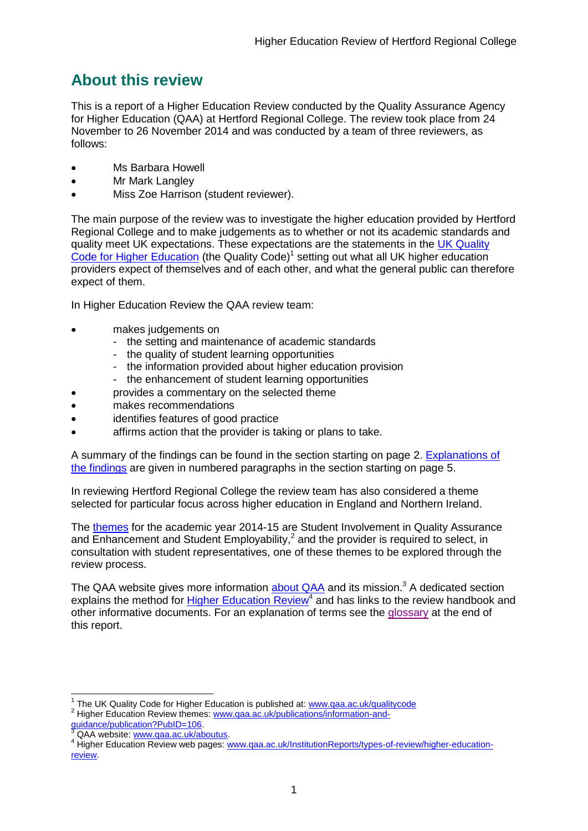## <span id="page-1-0"></span>**About this review**

This is a report of a Higher Education Review conducted by the Quality Assurance Agency for Higher Education (QAA) at Hertford Regional College. The review took place from 24 November to 26 November 2014 and was conducted by a team of three reviewers, as follows:

- Ms Barbara Howell
- Mr Mark Langley
- Miss Zoe Harrison (student reviewer).

The main purpose of the review was to investigate the higher education provided by Hertford Regional College and to make judgements as to whether or not its academic standards and quality meet UK expectations. These expectations are the statements in the [UK Quality](http://www.qaa.ac.uk/assuring-standards-and-quality/the-quality-code)  [Code for Higher Education](http://www.qaa.ac.uk/assuring-standards-and-quality/the-quality-code) (the Quality Code)<sup>1</sup> setting out what all UK higher education [providers](http://newlive.qaa.ac.uk/AboutUs/glossary/Pages/glossary-h.aspx#h2.1) expect of themselves and of each other, and what the general public can therefore expect of them.

In Higher Education Review the QAA review team:

- makes judgements on
	- the setting and maintenance of academic standards
	- the quality of student learning opportunities
	- the information provided about higher education provision
	- the enhancement of student learning opportunities
- provides a commentary on the selected theme
- makes recommendations
- identifies features of good practice
- affirms action that the provider is taking or plans to take.

A summary of the findings can be found in the section starting on page 2. [Explanations of](#page-4-0)  [the findings](#page-4-0) are given in numbered paragraphs in the section starting on page 5.

In reviewing Hertford Regional College the review team has also considered a theme selected for particular focus across higher education in England and Northern Ireland.

The [themes](http://www.qaa.ac.uk/publications/information-and-guidance/publication?PubID=106#.VNSVi3hFBzM) for the academic year 2014-15 are Student Involvement in Quality Assurance and Enhancement and Student Employability, $^2$  and the provider is required to select, in consultation with student representatives, one of these themes to be explored through the review process.

The QAA website gives more information [about QAA](http://www.qaa.ac.uk/aboutus/pages/default.aspx) and its mission.<sup>3</sup> A dedicated section explains the method for **Higher Education Review<sup>4</sup>** and has links to the review handbook and other informative documents. For an explanation of terms see the [glossary](#page-35-0) at the end of this report.

 1 The UK Quality Code for Higher Education is published at: [www.qaa.ac.uk/qualitycode](http://www.qaa.ac.uk/qualitycode) <sup>2</sup> Higher Education Review themes: [www.qaa.ac.uk/publications/information-and-](http://www.qaa.ac.uk/publications/information-and-guidance/publication?PubID=106)

[guidance/publication?PubID=106.](http://www.qaa.ac.uk/publications/information-and-guidance/publication?PubID=106)

<sup>&</sup>lt;sup>3</sup> QAA website: [www.qaa.ac.uk/aboutus.](http://www.qaa.ac.uk/aboutus/pages/default.aspx)

<sup>4</sup> Higher Education Review web pages: [www.qaa.ac.uk/InstitutionReports/types-of-review/higher-education](http://www.qaa.ac.uk/InstitutionReports/types-of-review/higher-education-review)[review.](http://www.qaa.ac.uk/InstitutionReports/types-of-review/higher-education-review)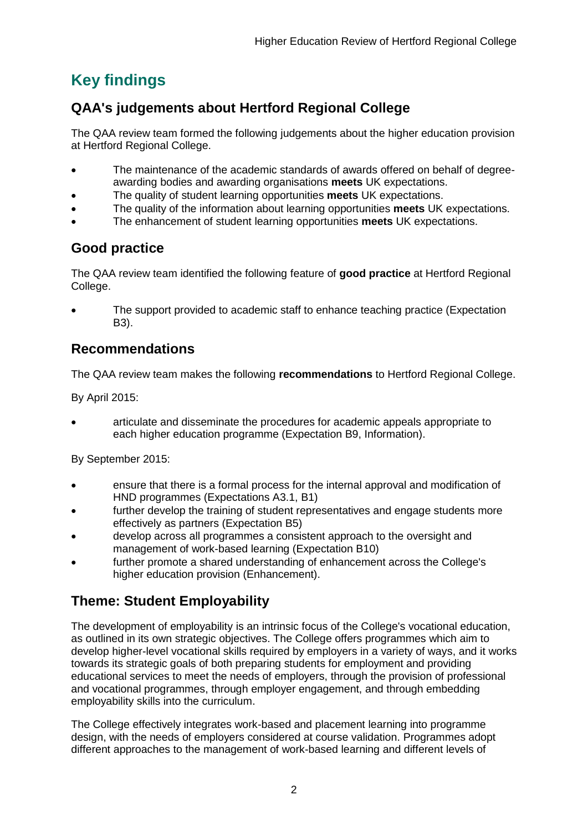## <span id="page-2-0"></span>**Key findings**

## <span id="page-2-1"></span>**QAA's judgements about Hertford Regional College**

The QAA review team formed the following judgements about the higher education provision at Hertford Regional College.

- The maintenance of the academic standards of awards offered on behalf of degreeawarding bodies and awarding organisations **meets** UK expectations.
- The quality of student learning opportunities **meets** UK expectations.
- The quality of the information about learning opportunities **meets** UK expectations.
- The enhancement of student learning opportunities **meets** UK expectations.

## <span id="page-2-2"></span>**Good practice**

The QAA review team identified the following feature of **good practice** at Hertford Regional College.

 The support provided to academic staff to enhance teaching practice (Expectation B3).

## <span id="page-2-3"></span>**Recommendations**

The QAA review team makes the following **recommendations** to Hertford Regional College.

By April 2015:

 articulate and disseminate the procedures for academic appeals appropriate to each higher education programme (Expectation B9, Information).

By September 2015:

- ensure that there is a formal process for the internal approval and modification of HND programmes (Expectations A3.1, B1)
- further develop the training of student representatives and engage students more effectively as partners (Expectation B5)
- develop across all programmes a consistent approach to the oversight and management of work-based learning (Expectation B10)
- further promote a shared understanding of enhancement across the College's higher education provision (Enhancement).

## <span id="page-2-4"></span>**Theme: Student Employability**

The development of employability is an intrinsic focus of the College's vocational education, as outlined in its own strategic objectives. The College offers programmes which aim to develop higher-level vocational skills required by employers in a variety of ways, and it works towards its strategic goals of both preparing students for employment and providing educational services to meet the needs of employers, through the provision of professional and vocational programmes, through employer engagement, and through embedding employability skills into the curriculum.

The College effectively integrates work-based and placement learning into programme design, with the needs of employers considered at course validation. Programmes adopt different approaches to the management of work-based learning and different levels of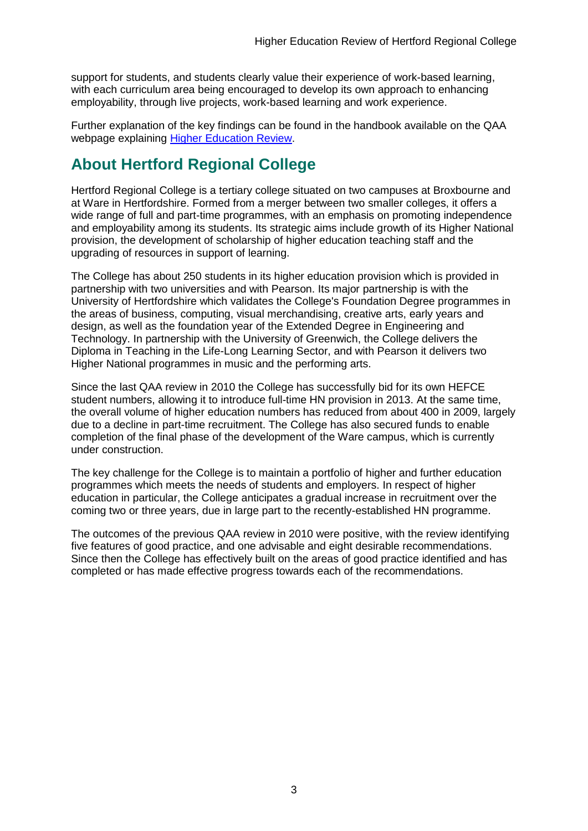support for students, and students clearly value their experience of work-based learning, with each curriculum area being encouraged to develop its own approach to enhancing employability, through live projects, work-based learning and work experience.

Further explanation of the key findings can be found in the handbook available on the QAA webpage explaining [Higher Education Review.](http://www.qaa.ac.uk/reviews-and-reports/how-we-review-higher-education/higher-education-review)

## <span id="page-3-0"></span>**About Hertford Regional College**

Hertford Regional College is a tertiary college situated on two campuses at Broxbourne and at Ware in Hertfordshire. Formed from a merger between two smaller colleges, it offers a wide range of full and part-time programmes, with an emphasis on promoting independence and employability among its students. Its strategic aims include growth of its Higher National provision, the development of scholarship of higher education teaching staff and the upgrading of resources in support of learning.

The College has about 250 students in its higher education provision which is provided in partnership with two universities and with Pearson. Its major partnership is with the University of Hertfordshire which validates the College's Foundation Degree programmes in the areas of business, computing, visual merchandising, creative arts, early years and design, as well as the foundation year of the Extended Degree in Engineering and Technology. In partnership with the University of Greenwich, the College delivers the Diploma in Teaching in the Life-Long Learning Sector, and with Pearson it delivers two Higher National programmes in music and the performing arts.

Since the last QAA review in 2010 the College has successfully bid for its own HEFCE student numbers, allowing it to introduce full-time HN provision in 2013. At the same time, the overall volume of higher education numbers has reduced from about 400 in 2009, largely due to a decline in part-time recruitment. The College has also secured funds to enable completion of the final phase of the development of the Ware campus, which is currently under construction.

The key challenge for the College is to maintain a portfolio of higher and further education programmes which meets the needs of students and employers. In respect of higher education in particular, the College anticipates a gradual increase in recruitment over the coming two or three years, due in large part to the recently-established HN programme.

The outcomes of the previous QAA review in 2010 were positive, with the review identifying five features of good practice, and one advisable and eight desirable recommendations. Since then the College has effectively built on the areas of good practice identified and has completed or has made effective progress towards each of the recommendations.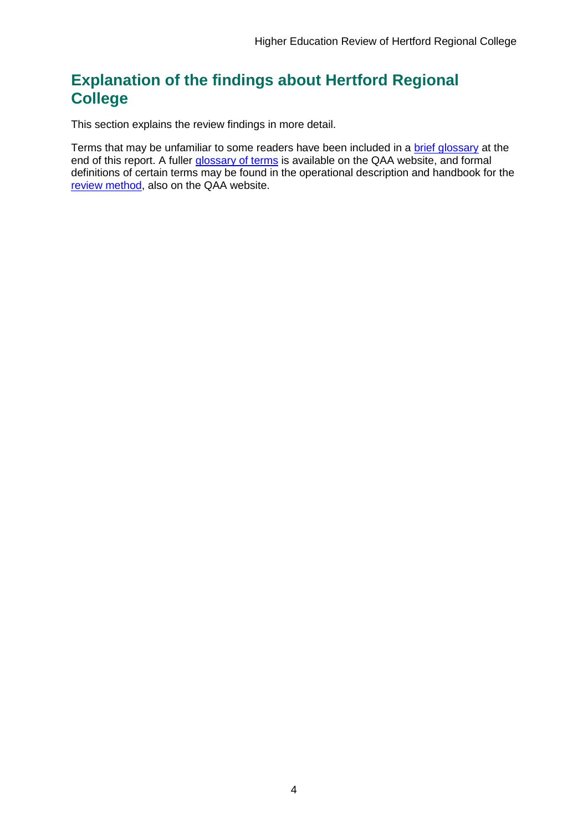## <span id="page-4-0"></span>**Explanation of the findings about Hertford Regional College**

This section explains the review findings in more detail.

Terms that may be unfamiliar to some readers have been included in a [brief glossary](#page-35-0) at the end of this report. A fuller [glossary of terms](http://www.qaa.ac.uk/Pages/GlossaryEN.aspx) is available on the QAA website, and formal definitions of certain terms may be found in the operational description and handbook for the [review method,](http://www.qaa.ac.uk/reviews-and-reports/how-we-review-higher-education/higher-education-review) also on the QAA website.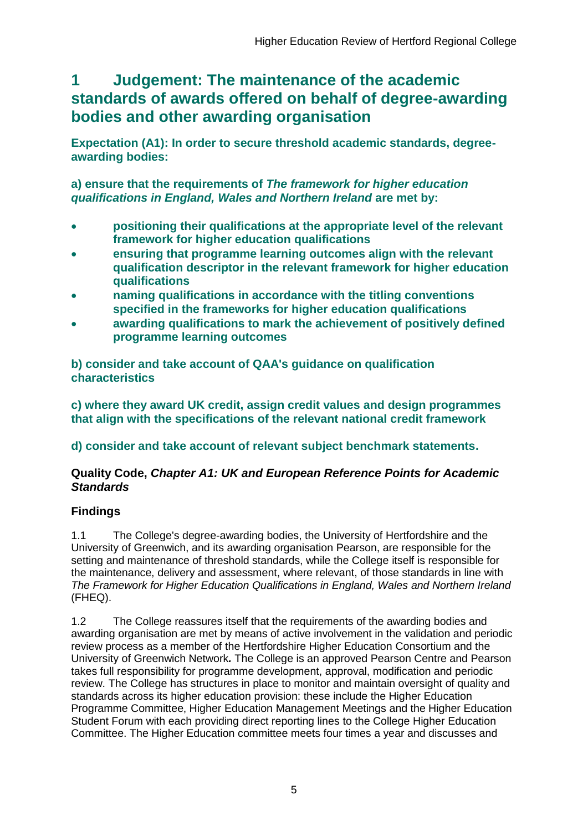## <span id="page-5-0"></span>**1 Judgement: The maintenance of the academic standards of awards offered on behalf of degree-awarding bodies and other awarding organisation**

**Expectation (A1): In order to secure threshold academic standards, degreeawarding bodies:** 

**a) ensure that the requirements of** *The framework for higher education qualifications in England, Wales and Northern Ireland* **are met by:**

- **positioning their qualifications at the appropriate level of the relevant framework for higher education qualifications**
- **ensuring that programme learning outcomes align with the relevant qualification descriptor in the relevant framework for higher education qualifications**
- **naming qualifications in accordance with the titling conventions specified in the frameworks for higher education qualifications**
- **awarding qualifications to mark the achievement of positively defined programme learning outcomes**

**b) consider and take account of QAA's guidance on qualification characteristics** 

**c) where they award UK credit, assign credit values and design programmes that align with the specifications of the relevant national credit framework** 

**d) consider and take account of relevant subject benchmark statements.**

### **Quality Code,** *Chapter A1: UK and European Reference Points for Academic Standards*

## **Findings**

1.1 The College's degree-awarding bodies, the University of Hertfordshire and the University of Greenwich, and its awarding organisation Pearson, are responsible for the setting and maintenance of threshold standards, while the College itself is responsible for the maintenance, delivery and assessment, where relevant, of those standards in line with *The Framework for Higher Education Qualifications in England, Wales and Northern Ireland* (FHEQ).

1.2 The College reassures itself that the requirements of the awarding bodies and awarding organisation are met by means of active involvement in the validation and periodic review process as a member of the Hertfordshire Higher Education Consortium and the University of Greenwich Network*.* The College is an approved Pearson Centre and Pearson takes full responsibility for programme development, approval, modification and periodic review. The College has structures in place to monitor and maintain oversight of quality and standards across its higher education provision: these include the Higher Education Programme Committee, Higher Education Management Meetings and the Higher Education Student Forum with each providing direct reporting lines to the College Higher Education Committee. The Higher Education committee meets four times a year and discusses and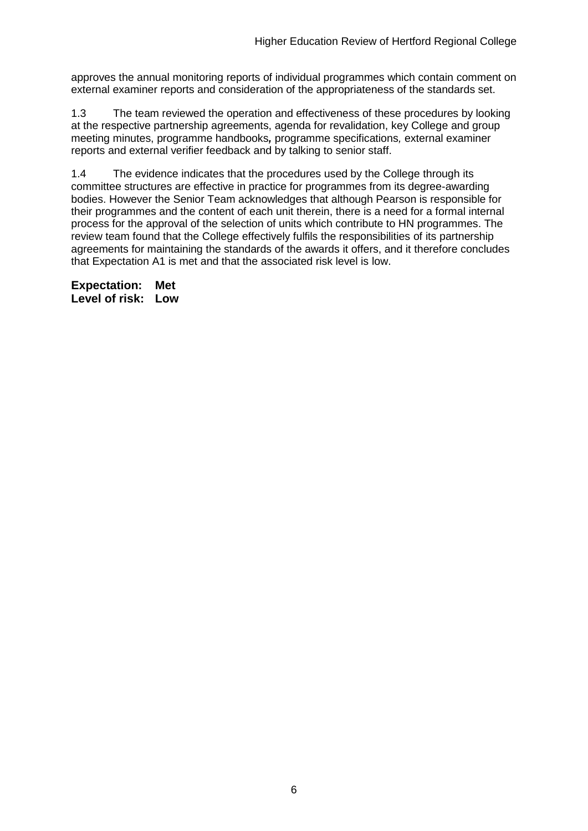approves the annual monitoring reports of individual programmes which contain comment on external examiner reports and consideration of the appropriateness of the standards set.

1.3 The team reviewed the operation and effectiveness of these procedures by looking at the respective partnership agreements, agenda for revalidation, key College and group meeting minutes, programme handbooks*,* programme specifications*,* external examiner reports and external verifier feedback and by talking to senior staff.

1.4 The evidence indicates that the procedures used by the College through its committee structures are effective in practice for programmes from its degree-awarding bodies. However the Senior Team acknowledges that although Pearson is responsible for their programmes and the content of each unit therein, there is a need for a formal internal process for the approval of the selection of units which contribute to HN programmes. The review team found that the College effectively fulfils the responsibilities of its partnership agreements for maintaining the standards of the awards it offers, and it therefore concludes that Expectation A1 is met and that the associated risk level is low.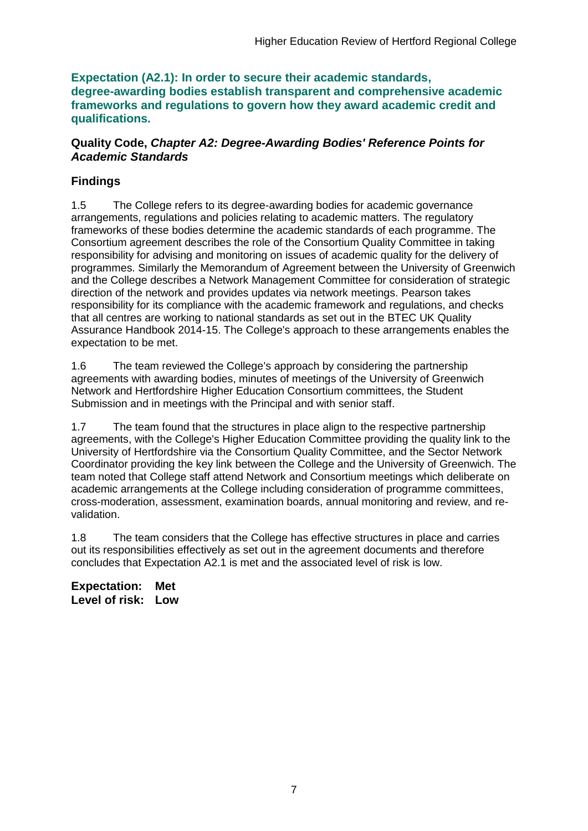**Expectation (A2.1): In order to secure their academic standards, degree-awarding bodies establish transparent and comprehensive academic frameworks and regulations to govern how they award academic credit and qualifications.**

### **Quality Code,** *Chapter A2: Degree-Awarding Bodies' Reference Points for Academic Standards*

## **Findings**

1.5 The College refers to its degree-awarding bodies for academic governance arrangements, regulations and policies relating to academic matters. The regulatory frameworks of these bodies determine the academic standards of each programme. The Consortium agreement describes the role of the Consortium Quality Committee in taking responsibility for advising and monitoring on issues of academic quality for the delivery of programmes. Similarly the Memorandum of Agreement between the University of Greenwich and the College describes a Network Management Committee for consideration of strategic direction of the network and provides updates via network meetings. Pearson takes responsibility for its compliance with the academic framework and regulations, and checks that all centres are working to national standards as set out in the BTEC UK Quality Assurance Handbook 2014-15. The College's approach to these arrangements enables the expectation to be met.

1.6 The team reviewed the College's approach by considering the partnership agreements with awarding bodies, minutes of meetings of the University of Greenwich Network and Hertfordshire Higher Education Consortium committees, the Student Submission and in meetings with the Principal and with senior staff.

1.7 The team found that the structures in place align to the respective partnership agreements, with the College's Higher Education Committee providing the quality link to the University of Hertfordshire via the Consortium Quality Committee, and the Sector Network Coordinator providing the key link between the College and the University of Greenwich. The team noted that College staff attend Network and Consortium meetings which deliberate on academic arrangements at the College including consideration of programme committees, cross-moderation, assessment, examination boards, annual monitoring and review, and revalidation.

1.8 The team considers that the College has effective structures in place and carries out its responsibilities effectively as set out in the agreement documents and therefore concludes that Expectation A2.1 is met and the associated level of risk is low.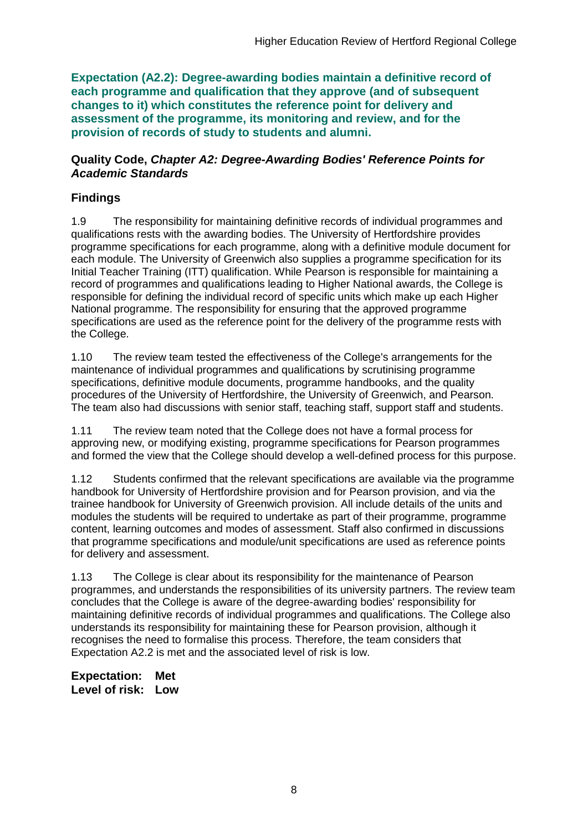**Expectation (A2.2): Degree-awarding bodies maintain a definitive record of each programme and qualification that they approve (and of subsequent changes to it) which constitutes the reference point for delivery and assessment of the programme, its monitoring and review, and for the provision of records of study to students and alumni.**

### **Quality Code,** *Chapter A2: Degree-Awarding Bodies' Reference Points for Academic Standards*

## **Findings**

1.9 The responsibility for maintaining definitive records of individual programmes and qualifications rests with the awarding bodies. The University of Hertfordshire provides programme specifications for each programme, along with a definitive module document for each module. The University of Greenwich also supplies a programme specification for its Initial Teacher Training (ITT) qualification. While Pearson is responsible for maintaining a record of programmes and qualifications leading to Higher National awards, the College is responsible for defining the individual record of specific units which make up each Higher National programme. The responsibility for ensuring that the approved programme specifications are used as the reference point for the delivery of the programme rests with the College.

1.10 The review team tested the effectiveness of the College's arrangements for the maintenance of individual programmes and qualifications by scrutinising programme specifications, definitive module documents, programme handbooks, and the quality procedures of the University of Hertfordshire, the University of Greenwich, and Pearson. The team also had discussions with senior staff, teaching staff, support staff and students.

1.11 The review team noted that the College does not have a formal process for approving new, or modifying existing, programme specifications for Pearson programmes and formed the view that the College should develop a well-defined process for this purpose.

1.12 Students confirmed that the relevant specifications are available via the programme handbook for University of Hertfordshire provision and for Pearson provision, and via the trainee handbook for University of Greenwich provision. All include details of the units and modules the students will be required to undertake as part of their programme, programme content, learning outcomes and modes of assessment. Staff also confirmed in discussions that programme specifications and module/unit specifications are used as reference points for delivery and assessment.

1.13 The College is clear about its responsibility for the maintenance of Pearson programmes, and understands the responsibilities of its university partners. The review team concludes that the College is aware of the degree-awarding bodies' responsibility for maintaining definitive records of individual programmes and qualifications. The College also understands its responsibility for maintaining these for Pearson provision, although it recognises the need to formalise this process. Therefore, the team considers that Expectation A2.2 is met and the associated level of risk is low.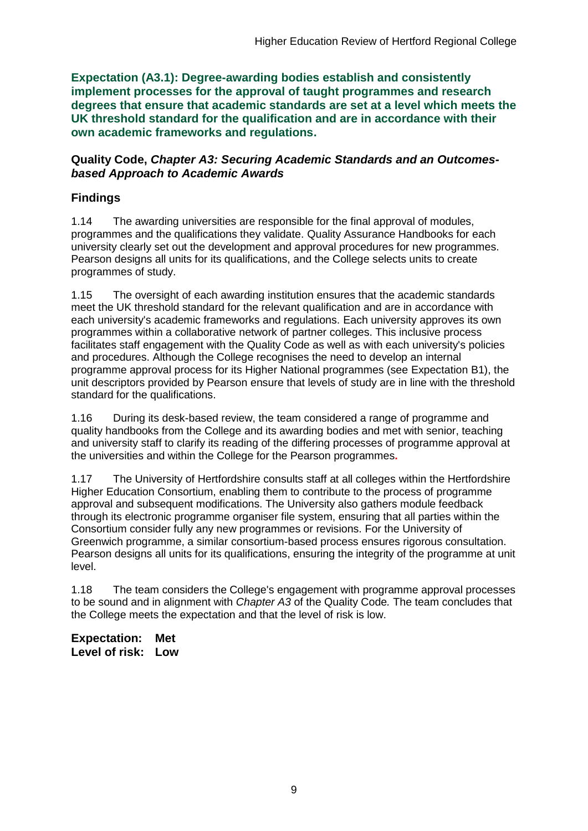**Expectation (A3.1): Degree-awarding bodies establish and consistently implement processes for the approval of taught programmes and research degrees that ensure that academic standards are set at a level which meets the UK threshold standard for the qualification and are in accordance with their own academic frameworks and regulations.**

### **Quality Code,** *Chapter A3: Securing Academic Standards and an Outcomesbased Approach to Academic Awards*

## **Findings**

1.14 The awarding universities are responsible for the final approval of modules, programmes and the qualifications they validate. Quality Assurance Handbooks for each university clearly set out the development and approval procedures for new programmes. Pearson designs all units for its qualifications, and the College selects units to create programmes of study.

1.15 The oversight of each awarding institution ensures that the academic standards meet the UK threshold standard for the relevant qualification and are in accordance with each university's academic frameworks and regulations. Each university approves its own programmes within a collaborative network of partner colleges. This inclusive process facilitates staff engagement with the Quality Code as well as with each university's policies and procedures. Although the College recognises the need to develop an internal programme approval process for its Higher National programmes (see Expectation B1), the unit descriptors provided by Pearson ensure that levels of study are in line with the threshold standard for the qualifications.

1.16 During its desk-based review, the team considered a range of programme and quality handbooks from the College and its awarding bodies and met with senior, teaching and university staff to clarify its reading of the differing processes of programme approval at the universities and within the College for the Pearson programmes**.**

1.17 The University of Hertfordshire consults staff at all colleges within the Hertfordshire Higher Education Consortium, enabling them to contribute to the process of programme approval and subsequent modifications. The University also gathers module feedback through its electronic programme organiser file system, ensuring that all parties within the Consortium consider fully any new programmes or revisions. For the University of Greenwich programme, a similar consortium-based process ensures rigorous consultation. Pearson designs all units for its qualifications, ensuring the integrity of the programme at unit level.

1.18 The team considers the College's engagement with programme approval processes to be sound and in alignment with *Chapter A3* of the Quality Code*.* The team concludes that the College meets the expectation and that the level of risk is low.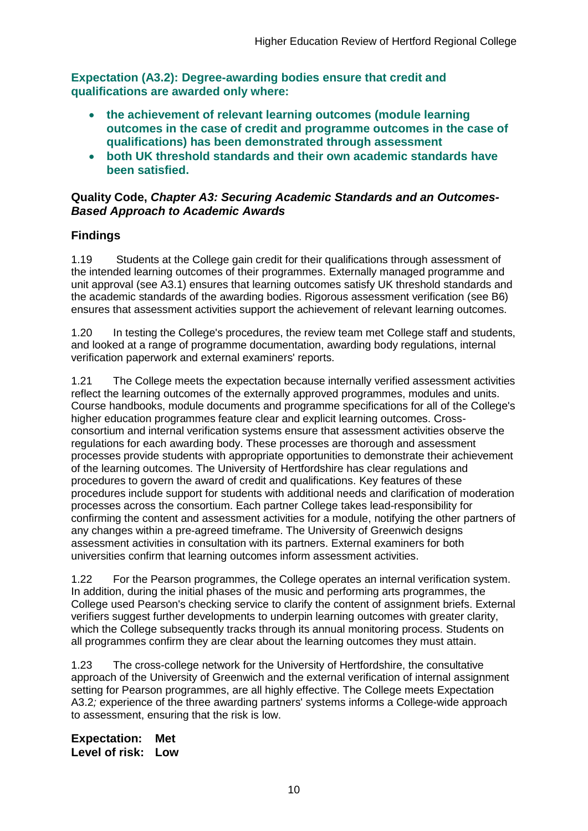**Expectation (A3.2): Degree-awarding bodies ensure that credit and qualifications are awarded only where:** 

- **the achievement of relevant learning outcomes (module learning outcomes in the case of credit and programme outcomes in the case of qualifications) has been demonstrated through assessment**
- **both UK threshold standards and their own academic standards have been satisfied.**

### **Quality Code,** *Chapter A3: Securing Academic Standards and an Outcomes-Based Approach to Academic Awards*

## **Findings**

1.19 Students at the College gain credit for their qualifications through assessment of the intended learning outcomes of their programmes. Externally managed programme and unit approval (see A3.1) ensures that learning outcomes satisfy UK threshold standards and the academic standards of the awarding bodies. Rigorous assessment verification (see B6) ensures that assessment activities support the achievement of relevant learning outcomes.

1.20 In testing the College's procedures, the review team met College staff and students, and looked at a range of programme documentation, awarding body regulations, internal verification paperwork and external examiners' reports.

1.21 The College meets the expectation because internally verified assessment activities reflect the learning outcomes of the externally approved programmes, modules and units. Course handbooks, module documents and programme specifications for all of the College's higher education programmes feature clear and explicit learning outcomes. Crossconsortium and internal verification systems ensure that assessment activities observe the regulations for each awarding body. These processes are thorough and assessment processes provide students with appropriate opportunities to demonstrate their achievement of the learning outcomes. The University of Hertfordshire has clear regulations and procedures to govern the award of credit and qualifications. Key features of these procedures include support for students with additional needs and clarification of moderation processes across the consortium. Each partner College takes lead-responsibility for confirming the content and assessment activities for a module, notifying the other partners of any changes within a pre-agreed timeframe. The University of Greenwich designs assessment activities in consultation with its partners. External examiners for both universities confirm that learning outcomes inform assessment activities.

1.22 For the Pearson programmes, the College operates an internal verification system. In addition, during the initial phases of the music and performing arts programmes, the College used Pearson's checking service to clarify the content of assignment briefs. External verifiers suggest further developments to underpin learning outcomes with greater clarity, which the College subsequently tracks through its annual monitoring process. Students on all programmes confirm they are clear about the learning outcomes they must attain.

1.23 The cross-college network for the University of Hertfordshire, the consultative approach of the University of Greenwich and the external verification of internal assignment setting for Pearson programmes, are all highly effective. The College meets Expectation A3.2*;* experience of the three awarding partners' systems informs a College-wide approach to assessment, ensuring that the risk is low.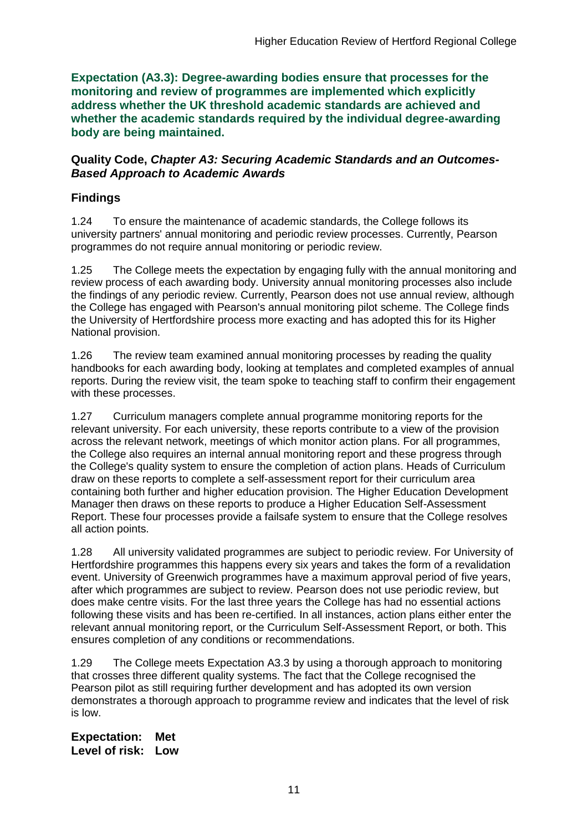**Expectation (A3.3): Degree-awarding bodies ensure that processes for the monitoring and review of programmes are implemented which explicitly address whether the UK threshold academic standards are achieved and whether the academic standards required by the individual degree-awarding body are being maintained.**

### **Quality Code,** *Chapter A3: Securing Academic Standards and an Outcomes-Based Approach to Academic Awards*

## **Findings**

1.24 To ensure the maintenance of academic standards, the College follows its university partners' annual monitoring and periodic review processes. Currently, Pearson programmes do not require annual monitoring or periodic review.

1.25 The College meets the expectation by engaging fully with the annual monitoring and review process of each awarding body. University annual monitoring processes also include the findings of any periodic review. Currently, Pearson does not use annual review, although the College has engaged with Pearson's annual monitoring pilot scheme. The College finds the University of Hertfordshire process more exacting and has adopted this for its Higher National provision.

1.26 The review team examined annual monitoring processes by reading the quality handbooks for each awarding body, looking at templates and completed examples of annual reports. During the review visit, the team spoke to teaching staff to confirm their engagement with these processes.

1.27 Curriculum managers complete annual programme monitoring reports for the relevant university. For each university, these reports contribute to a view of the provision across the relevant network, meetings of which monitor action plans. For all programmes, the College also requires an internal annual monitoring report and these progress through the College's quality system to ensure the completion of action plans. Heads of Curriculum draw on these reports to complete a self-assessment report for their curriculum area containing both further and higher education provision. The Higher Education Development Manager then draws on these reports to produce a Higher Education Self-Assessment Report. These four processes provide a failsafe system to ensure that the College resolves all action points.

1.28 All university validated programmes are subject to periodic review. For University of Hertfordshire programmes this happens every six years and takes the form of a revalidation event. University of Greenwich programmes have a maximum approval period of five years, after which programmes are subject to review. Pearson does not use periodic review, but does make centre visits. For the last three years the College has had no essential actions following these visits and has been re-certified. In all instances, action plans either enter the relevant annual monitoring report, or the Curriculum Self-Assessment Report, or both. This ensures completion of any conditions or recommendations.

1.29 The College meets Expectation A3.3 by using a thorough approach to monitoring that crosses three different quality systems. The fact that the College recognised the Pearson pilot as still requiring further development and has adopted its own version demonstrates a thorough approach to programme review and indicates that the level of risk is low.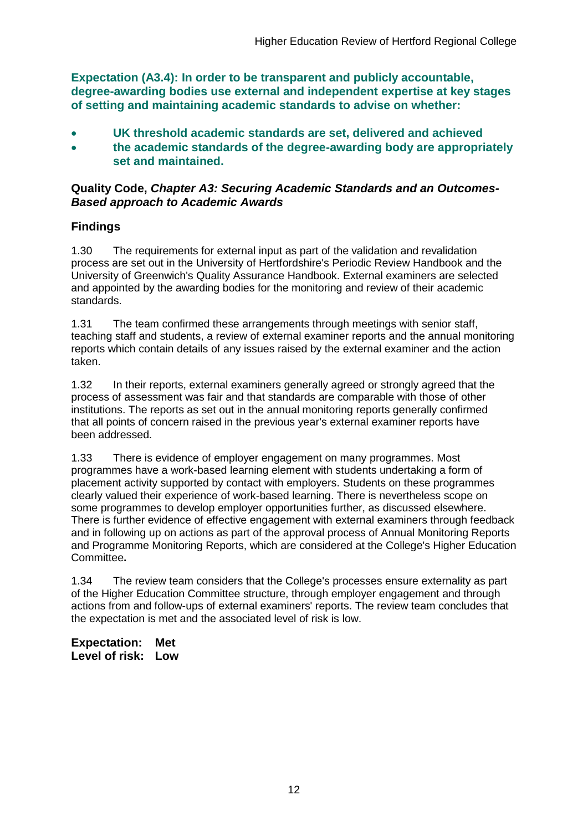**Expectation (A3.4): In order to be transparent and publicly accountable, degree-awarding bodies use external and independent expertise at key stages of setting and maintaining academic standards to advise on whether:**

- **UK threshold academic standards are set, delivered and achieved**
- **the academic standards of the degree-awarding body are appropriately set and maintained.**

### **Quality Code,** *Chapter A3: Securing Academic Standards and an Outcomes-Based approach to Academic Awards*

## **Findings**

1.30 The requirements for external input as part of the validation and revalidation process are set out in the University of Hertfordshire's Periodic Review Handbook and the University of Greenwich's Quality Assurance Handbook. External examiners are selected and appointed by the awarding bodies for the monitoring and review of their academic standards.

1.31 The team confirmed these arrangements through meetings with senior staff, teaching staff and students, a review of external examiner reports and the annual monitoring reports which contain details of any issues raised by the external examiner and the action taken.

1.32 In their reports, external examiners generally agreed or strongly agreed that the process of assessment was fair and that standards are comparable with those of other institutions. The reports as set out in the annual monitoring reports generally confirmed that all points of concern raised in the previous year's external examiner reports have been addressed.

1.33 There is evidence of employer engagement on many programmes. Most programmes have a work-based learning element with students undertaking a form of placement activity supported by contact with employers. Students on these programmes clearly valued their experience of work-based learning. There is nevertheless scope on some programmes to develop employer opportunities further, as discussed elsewhere. There is further evidence of effective engagement with external examiners through feedback and in following up on actions as part of the approval process of Annual Monitoring Reports and Programme Monitoring Reports, which are considered at the College's Higher Education Committee**.**

1.34 The review team considers that the College's processes ensure externality as part of the Higher Education Committee structure, through employer engagement and through actions from and follow-ups of external examiners' reports. The review team concludes that the expectation is met and the associated level of risk is low.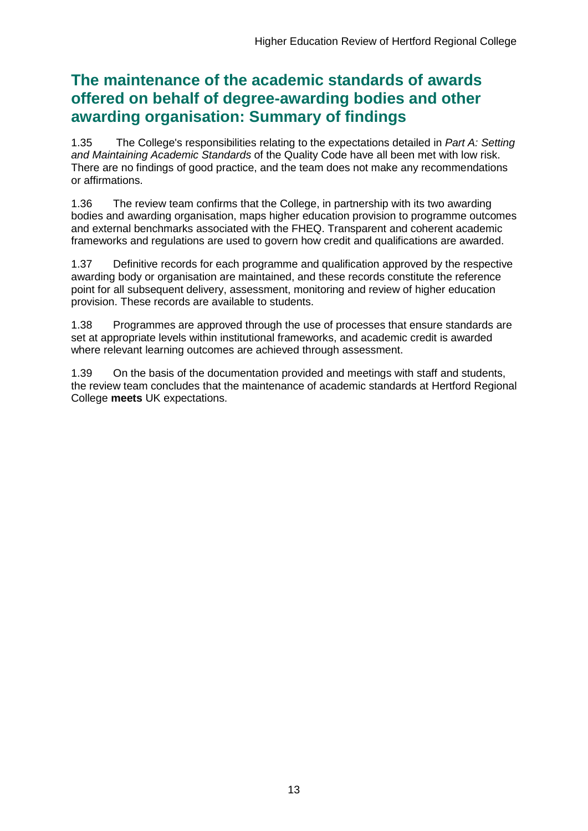## **The maintenance of the academic standards of awards offered on behalf of degree-awarding bodies and other awarding organisation: Summary of findings**

1.35 The College's responsibilities relating to the expectations detailed in *Part A: Setting and Maintaining Academic Standards* of the Quality Code have all been met with low risk. There are no findings of good practice, and the team does not make any recommendations or affirmations.

1.36 The review team confirms that the College, in partnership with its two awarding bodies and awarding organisation, maps higher education provision to programme outcomes and external benchmarks associated with the FHEQ. Transparent and coherent academic frameworks and regulations are used to govern how credit and qualifications are awarded.

1.37 Definitive records for each programme and qualification approved by the respective awarding body or organisation are maintained, and these records constitute the reference point for all subsequent delivery, assessment, monitoring and review of higher education provision. These records are available to students.

1.38 Programmes are approved through the use of processes that ensure standards are set at appropriate levels within institutional frameworks, and academic credit is awarded where relevant learning outcomes are achieved through assessment.

1.39 On the basis of the documentation provided and meetings with staff and students, the review team concludes that the maintenance of academic standards at Hertford Regional College **meets** UK expectations.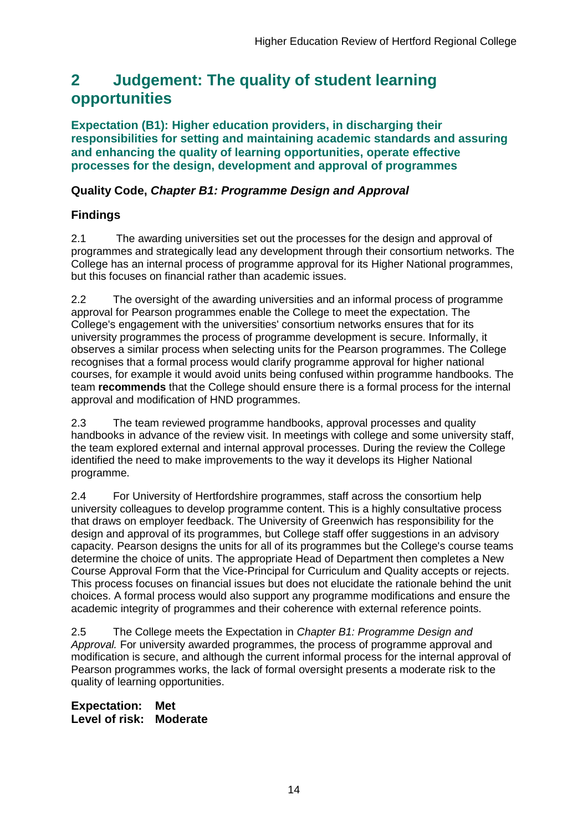## <span id="page-14-0"></span>**2 Judgement: The quality of student learning opportunities**

**Expectation (B1): Higher education providers, in discharging their responsibilities for setting and maintaining academic standards and assuring and enhancing the quality of learning opportunities, operate effective processes for the design, development and approval of programmes**

## **Quality Code,** *Chapter B1: Programme Design and Approval*

## **Findings**

2.1 The awarding universities set out the processes for the design and approval of programmes and strategically lead any development through their consortium networks. The College has an internal process of programme approval for its Higher National programmes, but this focuses on financial rather than academic issues.

2.2 The oversight of the awarding universities and an informal process of programme approval for Pearson programmes enable the College to meet the expectation. The College's engagement with the universities' consortium networks ensures that for its university programmes the process of programme development is secure. Informally, it observes a similar process when selecting units for the Pearson programmes. The College recognises that a formal process would clarify programme approval for higher national courses, for example it would avoid units being confused within programme handbooks. The team **recommends** that the College should ensure there is a formal process for the internal approval and modification of HND programmes.

2.3 The team reviewed programme handbooks, approval processes and quality handbooks in advance of the review visit. In meetings with college and some university staff, the team explored external and internal approval processes. During the review the College identified the need to make improvements to the way it develops its Higher National programme.

2.4 For University of Hertfordshire programmes, staff across the consortium help university colleagues to develop programme content. This is a highly consultative process that draws on employer feedback. The University of Greenwich has responsibility for the design and approval of its programmes, but College staff offer suggestions in an advisory capacity. Pearson designs the units for all of its programmes but the College's course teams determine the choice of units. The appropriate Head of Department then completes a New Course Approval Form that the Vice-Principal for Curriculum and Quality accepts or rejects. This process focuses on financial issues but does not elucidate the rationale behind the unit choices. A formal process would also support any programme modifications and ensure the academic integrity of programmes and their coherence with external reference points.

2.5 The College meets the Expectation in *Chapter B1: Programme Design and Approval.* For university awarded programmes, the process of programme approval and modification is secure, and although the current informal process for the internal approval of Pearson programmes works, the lack of formal oversight presents a moderate risk to the quality of learning opportunities.

**Expectation: Met Level of risk: Moderate**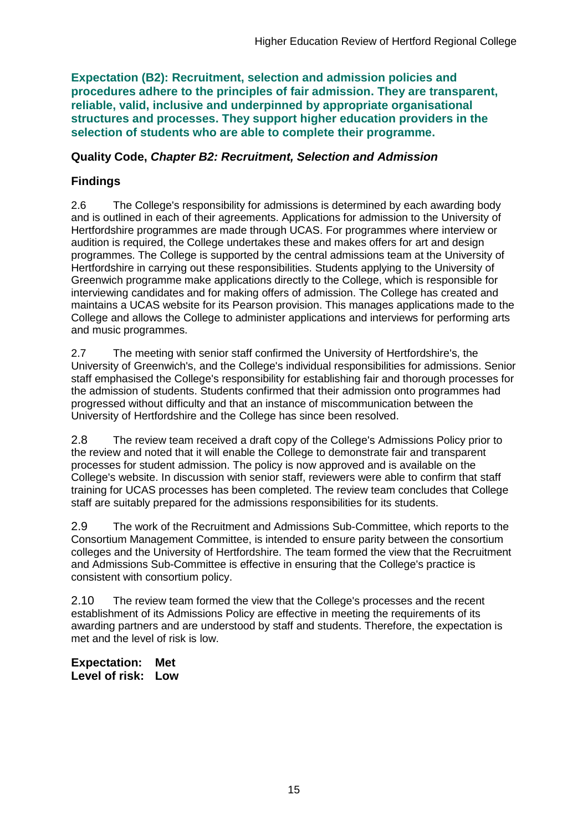**Expectation (B2): Recruitment, selection and admission policies and procedures adhere to the principles of fair admission. They are transparent, reliable, valid, inclusive and underpinned by appropriate organisational structures and processes. They support higher education providers in the selection of students who are able to complete their programme.**

### **Quality Code,** *Chapter B2: Recruitment, Selection and Admission*

## **Findings**

2.6 The College's responsibility for admissions is determined by each awarding body and is outlined in each of their agreements. Applications for admission to the University of Hertfordshire programmes are made through UCAS. For programmes where interview or audition is required, the College undertakes these and makes offers for art and design programmes. The College is supported by the central admissions team at the University of Hertfordshire in carrying out these responsibilities. Students applying to the University of Greenwich programme make applications directly to the College, which is responsible for interviewing candidates and for making offers of admission. The College has created and maintains a UCAS website for its Pearson provision. This manages applications made to the College and allows the College to administer applications and interviews for performing arts and music programmes.

2.7 The meeting with senior staff confirmed the University of Hertfordshire's, the University of Greenwich's, and the College's individual responsibilities for admissions. Senior staff emphasised the College's responsibility for establishing fair and thorough processes for the admission of students. Students confirmed that their admission onto programmes had progressed without difficulty and that an instance of miscommunication between the University of Hertfordshire and the College has since been resolved.

2.8 The review team received a draft copy of the College's Admissions Policy prior to the review and noted that it will enable the College to demonstrate fair and transparent processes for student admission. The policy is now approved and is available on the College's website. In discussion with senior staff, reviewers were able to confirm that staff training for UCAS processes has been completed. The review team concludes that College staff are suitably prepared for the admissions responsibilities for its students.

2.9 The work of the Recruitment and Admissions Sub-Committee, which reports to the Consortium Management Committee, is intended to ensure parity between the consortium colleges and the University of Hertfordshire. The team formed the view that the Recruitment and Admissions Sub-Committee is effective in ensuring that the College's practice is consistent with consortium policy.

2.10 The review team formed the view that the College's processes and the recent establishment of its Admissions Policy are effective in meeting the requirements of its awarding partners and are understood by staff and students. Therefore, the expectation is met and the level of risk is low.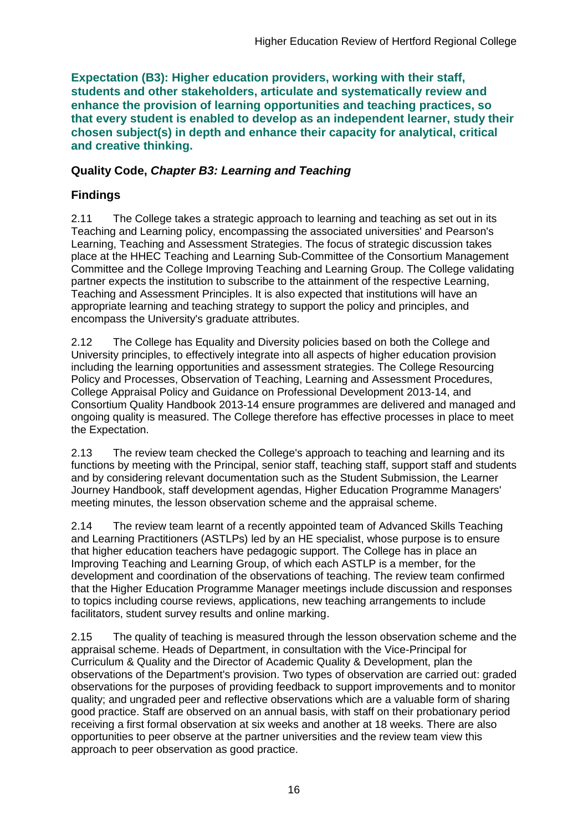**Expectation (B3): Higher education providers, working with their staff, students and other stakeholders, articulate and systematically review and enhance the provision of learning opportunities and teaching practices, so that every student is enabled to develop as an independent learner, study their chosen subject(s) in depth and enhance their capacity for analytical, critical and creative thinking.**

## **Quality Code,** *Chapter B3: Learning and Teaching*

## **Findings**

2.11 The College takes a strategic approach to learning and teaching as set out in its Teaching and Learning policy, encompassing the associated universities' and Pearson's Learning, Teaching and Assessment Strategies. The focus of strategic discussion takes place at the HHEC Teaching and Learning Sub-Committee of the Consortium Management Committee and the College Improving Teaching and Learning Group. The College validating partner expects the institution to subscribe to the attainment of the respective Learning, Teaching and Assessment Principles. It is also expected that institutions will have an appropriate learning and teaching strategy to support the policy and principles, and encompass the University's graduate attributes.

2.12 The College has Equality and Diversity policies based on both the College and University principles, to effectively integrate into all aspects of higher education provision including the learning opportunities and assessment strategies. The College Resourcing Policy and Processes, Observation of Teaching, Learning and Assessment Procedures, College Appraisal Policy and Guidance on Professional Development 2013-14, and Consortium Quality Handbook 2013-14 ensure programmes are delivered and managed and ongoing quality is measured. The College therefore has effective processes in place to meet the Expectation.

2.13 The review team checked the College's approach to teaching and learning and its functions by meeting with the Principal, senior staff, teaching staff, support staff and students and by considering relevant documentation such as the Student Submission, the Learner Journey Handbook, staff development agendas, Higher Education Programme Managers' meeting minutes, the lesson observation scheme and the appraisal scheme.

2.14 The review team learnt of a recently appointed team of Advanced Skills Teaching and Learning Practitioners (ASTLPs) led by an HE specialist, whose purpose is to ensure that higher education teachers have pedagogic support. The College has in place an Improving Teaching and Learning Group, of which each ASTLP is a member, for the development and coordination of the observations of teaching. The review team confirmed that the Higher Education Programme Manager meetings include discussion and responses to topics including course reviews, applications, new teaching arrangements to include facilitators, student survey results and online marking.

2.15 The quality of teaching is measured through the lesson observation scheme and the appraisal scheme. Heads of Department, in consultation with the Vice-Principal for Curriculum & Quality and the Director of Academic Quality & Development, plan the observations of the Department's provision. Two types of observation are carried out: graded observations for the purposes of providing feedback to support improvements and to monitor quality; and ungraded peer and reflective observations which are a valuable form of sharing good practice. Staff are observed on an annual basis, with staff on their probationary period receiving a first formal observation at six weeks and another at 18 weeks. There are also opportunities to peer observe at the partner universities and the review team view this approach to peer observation as good practice.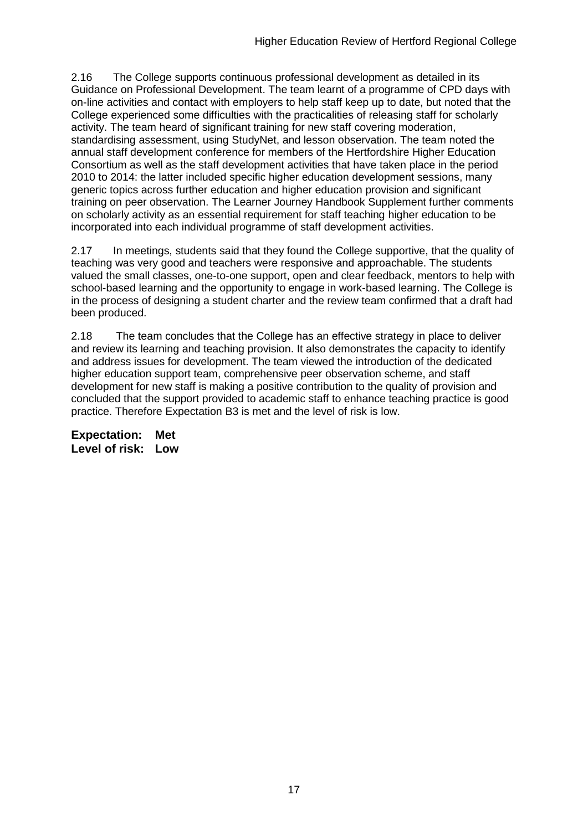2.16 The College supports continuous professional development as detailed in its Guidance on Professional Development. The team learnt of a programme of CPD days with on-line activities and contact with employers to help staff keep up to date, but noted that the College experienced some difficulties with the practicalities of releasing staff for scholarly activity. The team heard of significant training for new staff covering moderation, standardising assessment, using StudyNet, and lesson observation. The team noted the annual staff development conference for members of the Hertfordshire Higher Education Consortium as well as the staff development activities that have taken place in the period 2010 to 2014: the latter included specific higher education development sessions, many generic topics across further education and higher education provision and significant training on peer observation. The Learner Journey Handbook Supplement further comments on scholarly activity as an essential requirement for staff teaching higher education to be incorporated into each individual programme of staff development activities.

2.17 In meetings, students said that they found the College supportive, that the quality of teaching was very good and teachers were responsive and approachable. The students valued the small classes, one-to-one support, open and clear feedback, mentors to help with school-based learning and the opportunity to engage in work-based learning. The College is in the process of designing a student charter and the review team confirmed that a draft had been produced.

2.18 The team concludes that the College has an effective strategy in place to deliver and review its learning and teaching provision. It also demonstrates the capacity to identify and address issues for development. The team viewed the introduction of the dedicated higher education support team, comprehensive peer observation scheme, and staff development for new staff is making a positive contribution to the quality of provision and concluded that the support provided to academic staff to enhance teaching practice is good practice. Therefore Expectation B3 is met and the level of risk is low.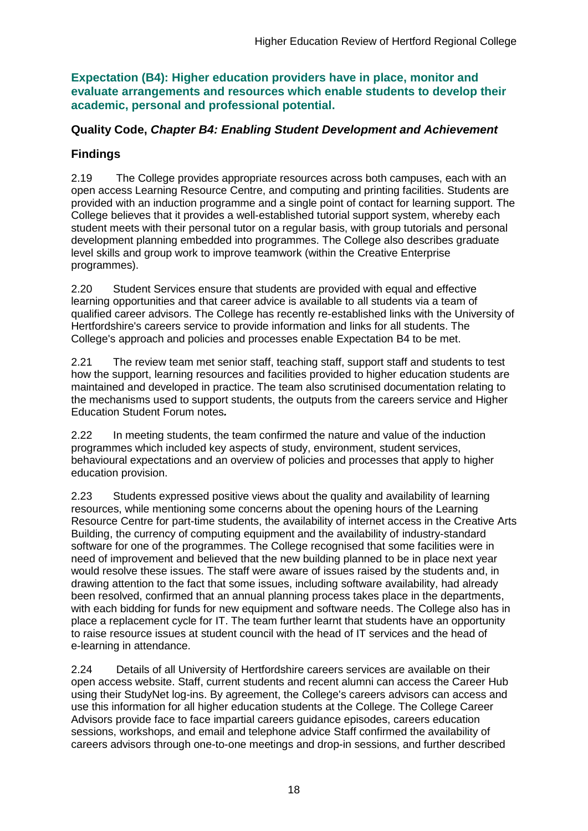**Expectation (B4): Higher education providers have in place, monitor and evaluate arrangements and resources which enable students to develop their academic, personal and professional potential.**

## **Quality Code,** *Chapter B4: Enabling Student Development and Achievement*

## **Findings**

2.19 The College provides appropriate resources across both campuses, each with an open access Learning Resource Centre, and computing and printing facilities. Students are provided with an induction programme and a single point of contact for learning support. The College believes that it provides a well-established tutorial support system, whereby each student meets with their personal tutor on a regular basis, with group tutorials and personal development planning embedded into programmes. The College also describes graduate level skills and group work to improve teamwork (within the Creative Enterprise programmes).

2.20 Student Services ensure that students are provided with equal and effective learning opportunities and that career advice is available to all students via a team of qualified career advisors. The College has recently re-established links with the University of Hertfordshire's careers service to provide information and links for all students. The College's approach and policies and processes enable Expectation B4 to be met.

2.21 The review team met senior staff, teaching staff, support staff and students to test how the support, learning resources and facilities provided to higher education students are maintained and developed in practice. The team also scrutinised documentation relating to the mechanisms used to support students, the outputs from the careers service and Higher Education Student Forum notes*.*

2.22 In meeting students, the team confirmed the nature and value of the induction programmes which included key aspects of study, environment, student services, behavioural expectations and an overview of policies and processes that apply to higher education provision.

2.23 Students expressed positive views about the quality and availability of learning resources, while mentioning some concerns about the opening hours of the Learning Resource Centre for part-time students, the availability of internet access in the Creative Arts Building, the currency of computing equipment and the availability of industry-standard software for one of the programmes. The College recognised that some facilities were in need of improvement and believed that the new building planned to be in place next year would resolve these issues. The staff were aware of issues raised by the students and, in drawing attention to the fact that some issues, including software availability, had already been resolved, confirmed that an annual planning process takes place in the departments, with each bidding for funds for new equipment and software needs. The College also has in place a replacement cycle for IT. The team further learnt that students have an opportunity to raise resource issues at student council with the head of IT services and the head of e-learning in attendance.

2.24 Details of all University of Hertfordshire careers services are available on their open access website. Staff, current students and recent alumni can access the Career Hub using their StudyNet log-ins. By agreement, the College's careers advisors can access and use this information for all higher education students at the College. The College Career Advisors provide face to face impartial careers guidance episodes, careers education sessions, workshops, and email and telephone advice Staff confirmed the availability of careers advisors through one-to-one meetings and drop-in sessions, and further described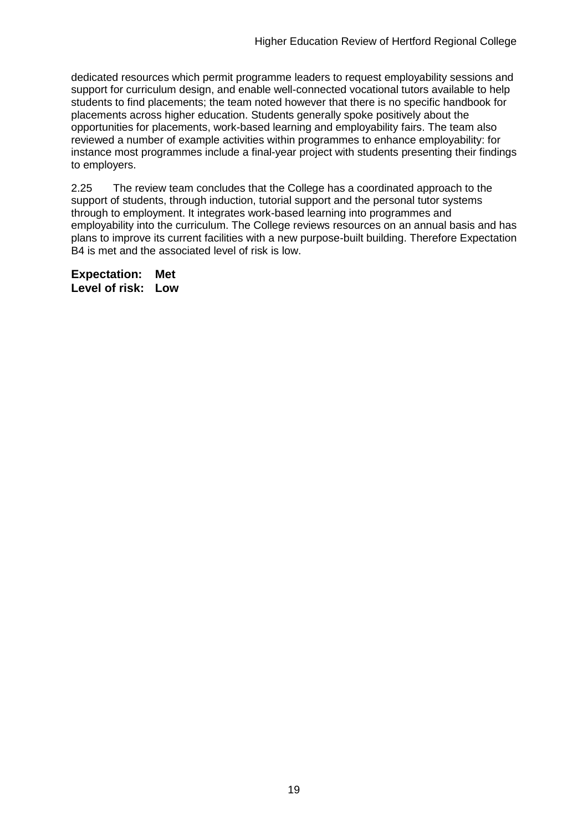dedicated resources which permit programme leaders to request employability sessions and support for curriculum design, and enable well-connected vocational tutors available to help students to find placements; the team noted however that there is no specific handbook for placements across higher education. Students generally spoke positively about the opportunities for placements, work-based learning and employability fairs. The team also reviewed a number of example activities within programmes to enhance employability: for instance most programmes include a final-year project with students presenting their findings to employers.

2.25 The review team concludes that the College has a coordinated approach to the support of students, through induction, tutorial support and the personal tutor systems through to employment. It integrates work-based learning into programmes and employability into the curriculum. The College reviews resources on an annual basis and has plans to improve its current facilities with a new purpose-built building. Therefore Expectation B4 is met and the associated level of risk is low.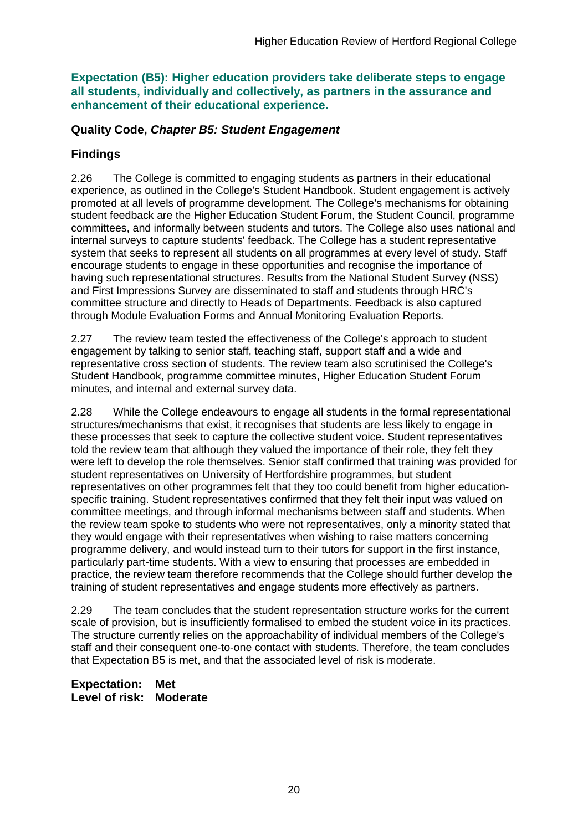**Expectation (B5): Higher education providers take deliberate steps to engage all students, individually and collectively, as partners in the assurance and enhancement of their educational experience.**

### **Quality Code,** *Chapter B5: Student Engagement*

## **Findings**

2.26 The College is committed to engaging students as partners in their educational experience, as outlined in the College's Student Handbook. Student engagement is actively promoted at all levels of programme development. The College's mechanisms for obtaining student feedback are the Higher Education Student Forum, the Student Council, programme committees, and informally between students and tutors. The College also uses national and internal surveys to capture students' feedback. The College has a student representative system that seeks to represent all students on all programmes at every level of study. Staff encourage students to engage in these opportunities and recognise the importance of having such representational structures. Results from the National Student Survey (NSS) and First Impressions Survey are disseminated to staff and students through HRC's committee structure and directly to Heads of Departments. Feedback is also captured through Module Evaluation Forms and Annual Monitoring Evaluation Reports.

2.27 The review team tested the effectiveness of the College's approach to student engagement by talking to senior staff, teaching staff, support staff and a wide and representative cross section of students. The review team also scrutinised the College's Student Handbook, programme committee minutes, Higher Education Student Forum minutes, and internal and external survey data.

2.28 While the College endeavours to engage all students in the formal representational structures/mechanisms that exist, it recognises that students are less likely to engage in these processes that seek to capture the collective student voice. Student representatives told the review team that although they valued the importance of their role, they felt they were left to develop the role themselves. Senior staff confirmed that training was provided for student representatives on University of Hertfordshire programmes, but student representatives on other programmes felt that they too could benefit from higher educationspecific training. Student representatives confirmed that they felt their input was valued on committee meetings, and through informal mechanisms between staff and students. When the review team spoke to students who were not representatives, only a minority stated that they would engage with their representatives when wishing to raise matters concerning programme delivery, and would instead turn to their tutors for support in the first instance, particularly part-time students. With a view to ensuring that processes are embedded in practice, the review team therefore recommends that the College should further develop the training of student representatives and engage students more effectively as partners.

2.29 The team concludes that the student representation structure works for the current scale of provision, but is insufficiently formalised to embed the student voice in its practices. The structure currently relies on the approachability of individual members of the College's staff and their consequent one-to-one contact with students. Therefore, the team concludes that Expectation B5 is met, and that the associated level of risk is moderate.

**Expectation: Met Level of risk: Moderate**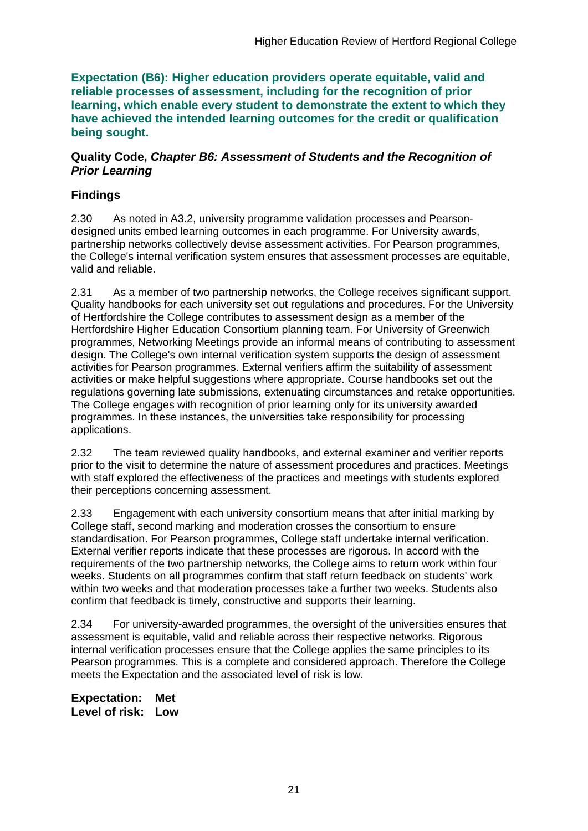**Expectation (B6): Higher education providers operate equitable, valid and reliable processes of assessment, including for the recognition of prior learning, which enable every student to demonstrate the extent to which they have achieved the intended learning outcomes for the credit or qualification being sought.**

### **Quality Code,** *Chapter B6: Assessment of Students and the Recognition of Prior Learning*

## **Findings**

2.30 As noted in A3.2, university programme validation processes and Pearsondesigned units embed learning outcomes in each programme. For University awards, partnership networks collectively devise assessment activities. For Pearson programmes, the College's internal verification system ensures that assessment processes are equitable, valid and reliable.

2.31 As a member of two partnership networks, the College receives significant support. Quality handbooks for each university set out regulations and procedures. For the University of Hertfordshire the College contributes to assessment design as a member of the Hertfordshire Higher Education Consortium planning team. For University of Greenwich programmes, Networking Meetings provide an informal means of contributing to assessment design. The College's own internal verification system supports the design of assessment activities for Pearson programmes. External verifiers affirm the suitability of assessment activities or make helpful suggestions where appropriate. Course handbooks set out the regulations governing late submissions, extenuating circumstances and retake opportunities. The College engages with recognition of prior learning only for its university awarded programmes. In these instances, the universities take responsibility for processing applications.

2.32 The team reviewed quality handbooks, and external examiner and verifier reports prior to the visit to determine the nature of assessment procedures and practices. Meetings with staff explored the effectiveness of the practices and meetings with students explored their perceptions concerning assessment.

2.33 Engagement with each university consortium means that after initial marking by College staff, second marking and moderation crosses the consortium to ensure standardisation. For Pearson programmes, College staff undertake internal verification. External verifier reports indicate that these processes are rigorous. In accord with the requirements of the two partnership networks, the College aims to return work within four weeks. Students on all programmes confirm that staff return feedback on students' work within two weeks and that moderation processes take a further two weeks. Students also confirm that feedback is timely, constructive and supports their learning.

2.34 For university-awarded programmes, the oversight of the universities ensures that assessment is equitable, valid and reliable across their respective networks. Rigorous internal verification processes ensure that the College applies the same principles to its Pearson programmes. This is a complete and considered approach. Therefore the College meets the Expectation and the associated level of risk is low.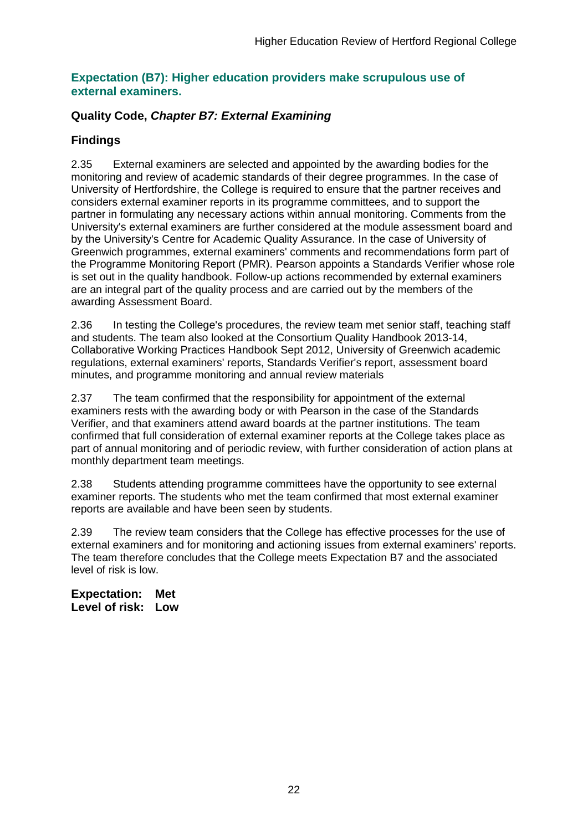### **Expectation (B7): Higher education providers make scrupulous use of external examiners.**

## **Quality Code,** *Chapter B7: External Examining*

## **Findings**

2.35 External examiners are selected and appointed by the awarding bodies for the monitoring and review of academic standards of their degree programmes. In the case of University of Hertfordshire, the College is required to ensure that the partner receives and considers external examiner reports in its programme committees, and to support the partner in formulating any necessary actions within annual monitoring. Comments from the University's external examiners are further considered at the module assessment board and by the University's Centre for Academic Quality Assurance. In the case of University of Greenwich programmes, external examiners' comments and recommendations form part of the Programme Monitoring Report (PMR). Pearson appoints a Standards Verifier whose role is set out in the quality handbook. Follow-up actions recommended by external examiners are an integral part of the quality process and are carried out by the members of the awarding Assessment Board.

2.36 In testing the College's procedures, the review team met senior staff, teaching staff and students. The team also looked at the Consortium Quality Handbook 2013-14, Collaborative Working Practices Handbook Sept 2012, University of Greenwich academic regulations, external examiners' reports, Standards Verifier's report, assessment board minutes, and programme monitoring and annual review materials

2.37 The team confirmed that the responsibility for appointment of the external examiners rests with the awarding body or with Pearson in the case of the Standards Verifier, and that examiners attend award boards at the partner institutions. The team confirmed that full consideration of external examiner reports at the College takes place as part of annual monitoring and of periodic review, with further consideration of action plans at monthly department team meetings.

2.38 Students attending programme committees have the opportunity to see external examiner reports. The students who met the team confirmed that most external examiner reports are available and have been seen by students.

2.39 The review team considers that the College has effective processes for the use of external examiners and for monitoring and actioning issues from external examiners' reports. The team therefore concludes that the College meets Expectation B7 and the associated level of risk is low.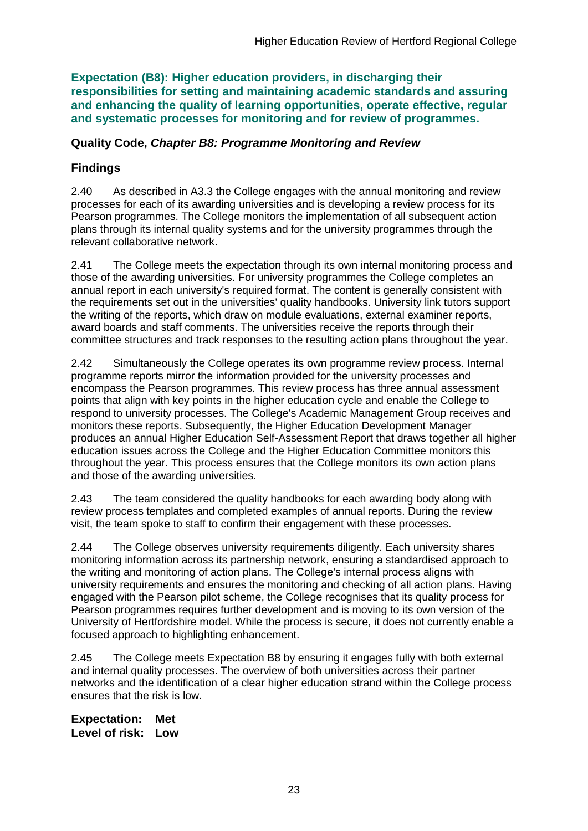**Expectation (B8): Higher education providers, in discharging their responsibilities for setting and maintaining academic standards and assuring and enhancing the quality of learning opportunities, operate effective, regular and systematic processes for monitoring and for review of programmes.**

## **Quality Code,** *Chapter B8: Programme Monitoring and Review*

## **Findings**

2.40 As described in A3.3 the College engages with the annual monitoring and review processes for each of its awarding universities and is developing a review process for its Pearson programmes. The College monitors the implementation of all subsequent action plans through its internal quality systems and for the university programmes through the relevant collaborative network.

2.41 The College meets the expectation through its own internal monitoring process and those of the awarding universities. For university programmes the College completes an annual report in each university's required format. The content is generally consistent with the requirements set out in the universities' quality handbooks. University link tutors support the writing of the reports, which draw on module evaluations, external examiner reports, award boards and staff comments. The universities receive the reports through their committee structures and track responses to the resulting action plans throughout the year.

2.42 Simultaneously the College operates its own programme review process. Internal programme reports mirror the information provided for the university processes and encompass the Pearson programmes. This review process has three annual assessment points that align with key points in the higher education cycle and enable the College to respond to university processes. The College's Academic Management Group receives and monitors these reports. Subsequently, the Higher Education Development Manager produces an annual Higher Education Self-Assessment Report that draws together all higher education issues across the College and the Higher Education Committee monitors this throughout the year. This process ensures that the College monitors its own action plans and those of the awarding universities.

2.43 The team considered the quality handbooks for each awarding body along with review process templates and completed examples of annual reports. During the review visit, the team spoke to staff to confirm their engagement with these processes.

2.44 The College observes university requirements diligently. Each university shares monitoring information across its partnership network, ensuring a standardised approach to the writing and monitoring of action plans. The College's internal process aligns with university requirements and ensures the monitoring and checking of all action plans. Having engaged with the Pearson pilot scheme, the College recognises that its quality process for Pearson programmes requires further development and is moving to its own version of the University of Hertfordshire model. While the process is secure, it does not currently enable a focused approach to highlighting enhancement.

2.45 The College meets Expectation B8 by ensuring it engages fully with both external and internal quality processes. The overview of both universities across their partner networks and the identification of a clear higher education strand within the College process ensures that the risk is low.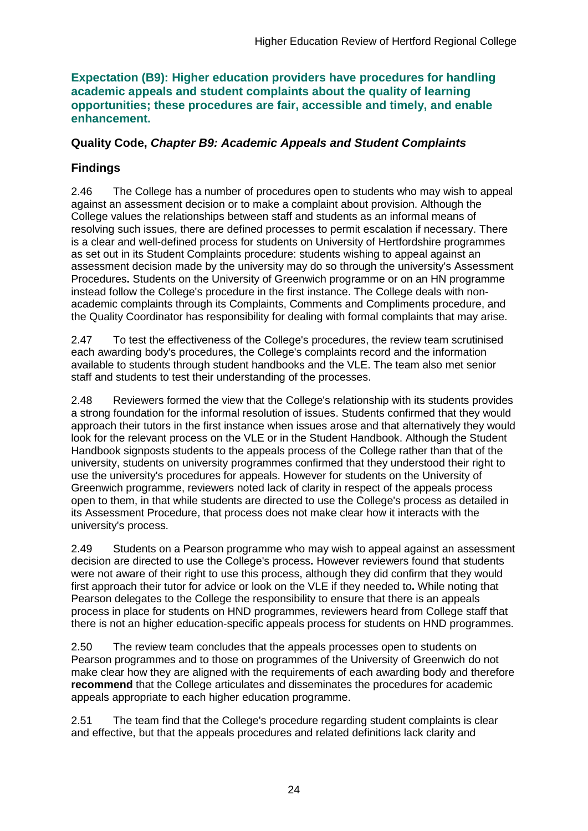### **Expectation (B9): Higher education providers have procedures for handling academic appeals and student complaints about the quality of learning opportunities; these procedures are fair, accessible and timely, and enable enhancement.**

## **Quality Code,** *Chapter B9: Academic Appeals and Student Complaints*

## **Findings**

2.46 The College has a number of procedures open to students who may wish to appeal against an assessment decision or to make a complaint about provision. Although the College values the relationships between staff and students as an informal means of resolving such issues, there are defined processes to permit escalation if necessary. There is a clear and well-defined process for students on University of Hertfordshire programmes as set out in its Student Complaints procedure: students wishing to appeal against an assessment decision made by the university may do so through the university's Assessment Procedures**.** Students on the University of Greenwich programme or on an HN programme instead follow the College's procedure in the first instance. The College deals with nonacademic complaints through its Complaints, Comments and Compliments procedure, and the Quality Coordinator has responsibility for dealing with formal complaints that may arise.

2.47 To test the effectiveness of the College's procedures, the review team scrutinised each awarding body's procedures, the College's complaints record and the information available to students through student handbooks and the VLE. The team also met senior staff and students to test their understanding of the processes.

2.48 Reviewers formed the view that the College's relationship with its students provides a strong foundation for the informal resolution of issues. Students confirmed that they would approach their tutors in the first instance when issues arose and that alternatively they would look for the relevant process on the VLE or in the Student Handbook. Although the Student Handbook signposts students to the appeals process of the College rather than that of the university, students on university programmes confirmed that they understood their right to use the university's procedures for appeals. However for students on the University of Greenwich programme, reviewers noted lack of clarity in respect of the appeals process open to them, in that while students are directed to use the College's process as detailed in its Assessment Procedure, that process does not make clear how it interacts with the university's process.

2.49 Students on a Pearson programme who may wish to appeal against an assessment decision are directed to use the College's process**.** However reviewers found that students were not aware of their right to use this process, although they did confirm that they would first approach their tutor for advice or look on the VLE if they needed to**.** While noting that Pearson delegates to the College the responsibility to ensure that there is an appeals process in place for students on HND programmes, reviewers heard from College staff that there is not an higher education-specific appeals process for students on HND programmes.

2.50 The review team concludes that the appeals processes open to students on Pearson programmes and to those on programmes of the University of Greenwich do not make clear how they are aligned with the requirements of each awarding body and therefore **recommend** that the College articulates and disseminates the procedures for academic appeals appropriate to each higher education programme.

2.51 The team find that the College's procedure regarding student complaints is clear and effective, but that the appeals procedures and related definitions lack clarity and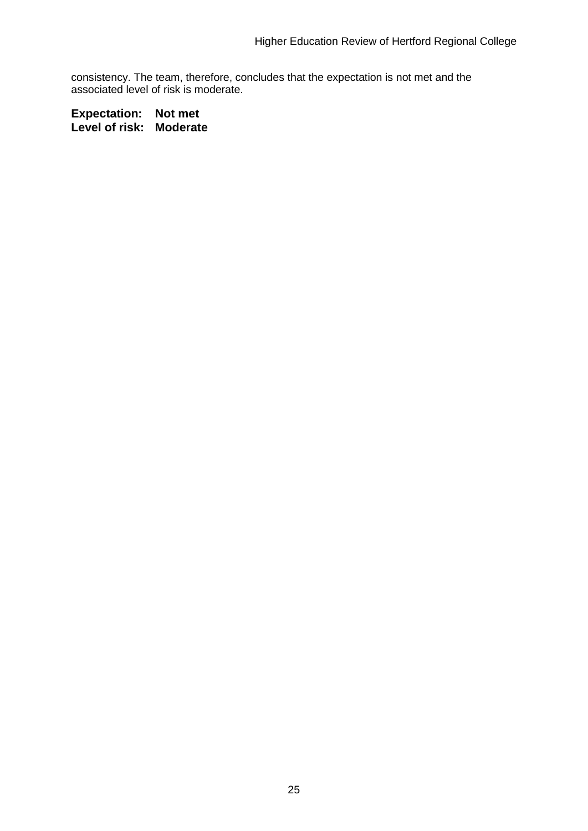consistency. The team, therefore, concludes that the expectation is not met and the associated level of risk is moderate.

**Expectation: Not met Level of risk: Moderate**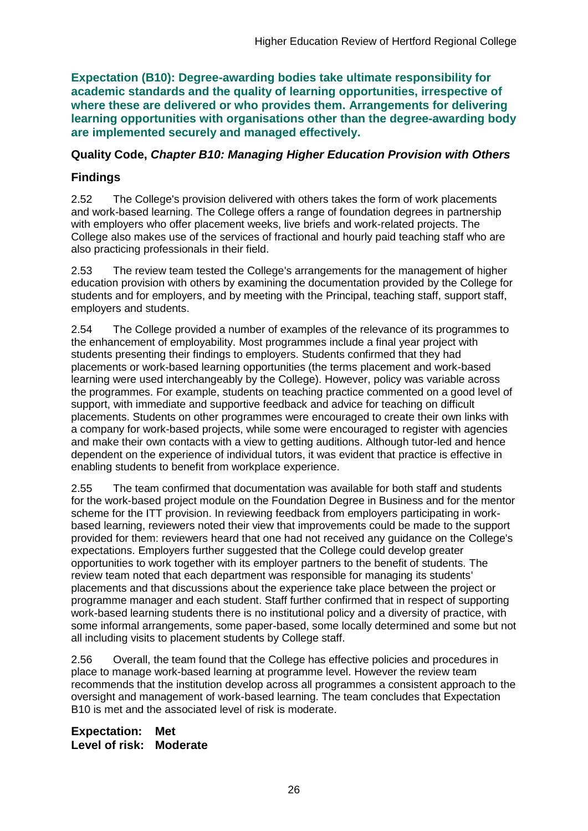**Expectation (B10): Degree-awarding bodies take ultimate responsibility for academic standards and the quality of learning opportunities, irrespective of where these are delivered or who provides them. Arrangements for delivering learning opportunities with organisations other than the degree-awarding body are implemented securely and managed effectively.**

### **Quality Code,** *Chapter B10: Managing Higher Education Provision with Others*

## **Findings**

2.52 The College's provision delivered with others takes the form of work placements and work-based learning. The College offers a range of foundation degrees in partnership with employers who offer placement weeks, live briefs and work-related projects. The College also makes use of the services of fractional and hourly paid teaching staff who are also practicing professionals in their field.

2.53 The review team tested the College's arrangements for the management of higher education provision with others by examining the documentation provided by the College for students and for employers, and by meeting with the Principal, teaching staff, support staff, employers and students.

2.54 The College provided a number of examples of the relevance of its programmes to the enhancement of employability. Most programmes include a final year project with students presenting their findings to employers. Students confirmed that they had placements or work-based learning opportunities (the terms placement and work-based learning were used interchangeably by the College). However, policy was variable across the programmes. For example, students on teaching practice commented on a good level of support, with immediate and supportive feedback and advice for teaching on difficult placements. Students on other programmes were encouraged to create their own links with a company for work-based projects, while some were encouraged to register with agencies and make their own contacts with a view to getting auditions. Although tutor-led and hence dependent on the experience of individual tutors, it was evident that practice is effective in enabling students to benefit from workplace experience.

2.55 The team confirmed that documentation was available for both staff and students for the work-based project module on the Foundation Degree in Business and for the mentor scheme for the ITT provision. In reviewing feedback from employers participating in workbased learning, reviewers noted their view that improvements could be made to the support provided for them: reviewers heard that one had not received any guidance on the College's expectations. Employers further suggested that the College could develop greater opportunities to work together with its employer partners to the benefit of students. The review team noted that each department was responsible for managing its students' placements and that discussions about the experience take place between the project or programme manager and each student. Staff further confirmed that in respect of supporting work-based learning students there is no institutional policy and a diversity of practice, with some informal arrangements, some paper-based, some locally determined and some but not all including visits to placement students by College staff.

2.56 Overall, the team found that the College has effective policies and procedures in place to manage work-based learning at programme level. However the review team recommends that the institution develop across all programmes a consistent approach to the oversight and management of work-based learning. The team concludes that Expectation B10 is met and the associated level of risk is moderate.

**Expectation: Met Level of risk: Moderate**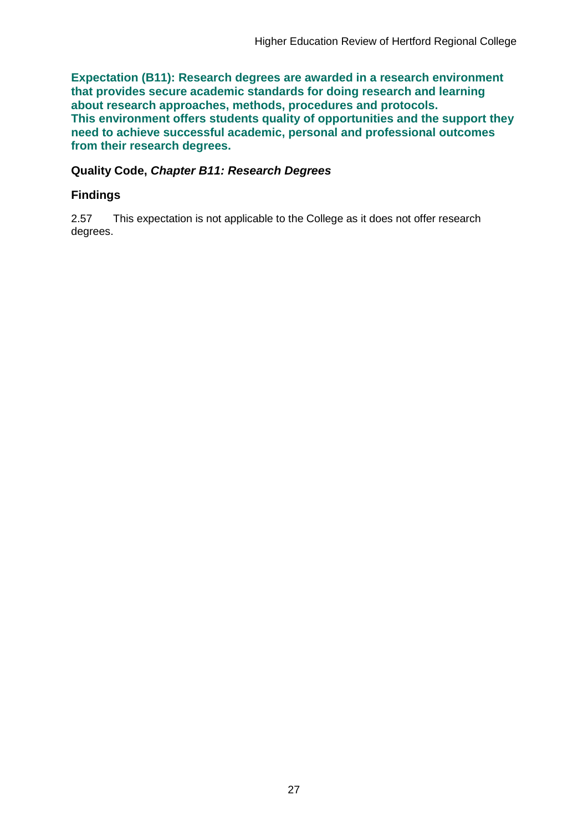**Expectation (B11): Research degrees are awarded in a research environment that provides secure academic standards for doing research and learning about research approaches, methods, procedures and protocols. This environment offers students quality of opportunities and the support they need to achieve successful academic, personal and professional outcomes from their research degrees.**

### **Quality Code,** *Chapter B11: Research Degrees*

### **Findings**

2.57 This expectation is not applicable to the College as it does not offer research degrees.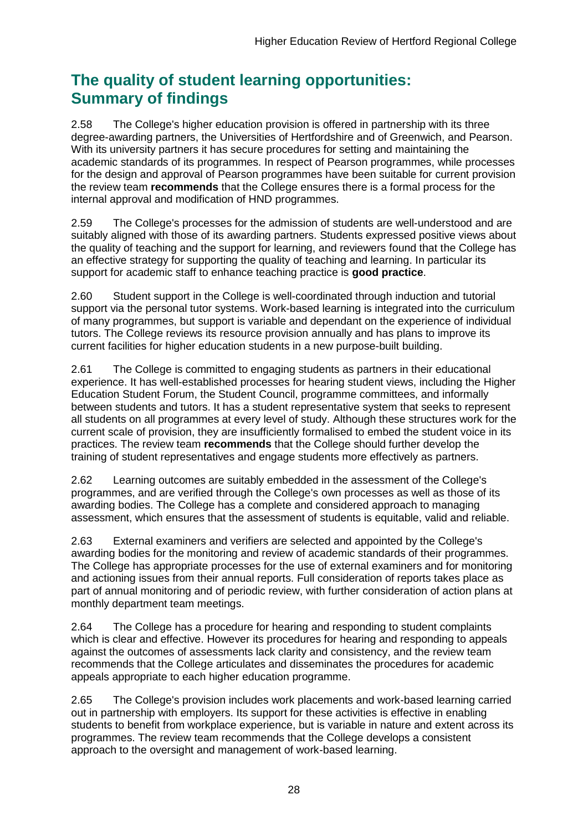## **The quality of student learning opportunities: Summary of findings**

2.58 The College's higher education provision is offered in partnership with its three degree-awarding partners, the Universities of Hertfordshire and of Greenwich, and Pearson. With its university partners it has secure procedures for setting and maintaining the academic standards of its programmes. In respect of Pearson programmes, while processes for the design and approval of Pearson programmes have been suitable for current provision the review team **recommends** that the College ensures there is a formal process for the internal approval and modification of HND programmes.

2.59 The College's processes for the admission of students are well-understood and are suitably aligned with those of its awarding partners. Students expressed positive views about the quality of teaching and the support for learning, and reviewers found that the College has an effective strategy for supporting the quality of teaching and learning. In particular its support for academic staff to enhance teaching practice is **good practice**.

2.60 Student support in the College is well-coordinated through induction and tutorial support via the personal tutor systems. Work-based learning is integrated into the curriculum of many programmes, but support is variable and dependant on the experience of individual tutors. The College reviews its resource provision annually and has plans to improve its current facilities for higher education students in a new purpose-built building.

2.61 The College is committed to engaging students as partners in their educational experience. It has well-established processes for hearing student views, including the Higher Education Student Forum, the Student Council, programme committees, and informally between students and tutors. It has a student representative system that seeks to represent all students on all programmes at every level of study. Although these structures work for the current scale of provision, they are insufficiently formalised to embed the student voice in its practices. The review team **recommends** that the College should further develop the training of student representatives and engage students more effectively as partners.

2.62 Learning outcomes are suitably embedded in the assessment of the College's programmes, and are verified through the College's own processes as well as those of its awarding bodies. The College has a complete and considered approach to managing assessment, which ensures that the assessment of students is equitable, valid and reliable.

2.63 External examiners and verifiers are selected and appointed by the College's awarding bodies for the monitoring and review of academic standards of their programmes. The College has appropriate processes for the use of external examiners and for monitoring and actioning issues from their annual reports. Full consideration of reports takes place as part of annual monitoring and of periodic review, with further consideration of action plans at monthly department team meetings.

2.64 The College has a procedure for hearing and responding to student complaints which is clear and effective. However its procedures for hearing and responding to appeals against the outcomes of assessments lack clarity and consistency, and the review team recommends that the College articulates and disseminates the procedures for academic appeals appropriate to each higher education programme.

2.65 The College's provision includes work placements and work-based learning carried out in partnership with employers. Its support for these activities is effective in enabling students to benefit from workplace experience, but is variable in nature and extent across its programmes. The review team recommends that the College develops a consistent approach to the oversight and management of work-based learning.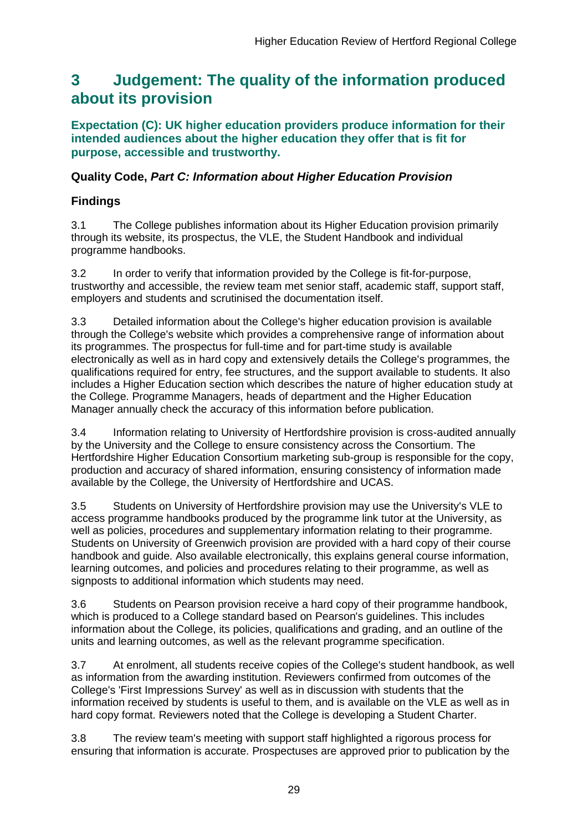## <span id="page-29-0"></span>**3 Judgement: The quality of the information produced about its provision**

**Expectation (C): UK higher education providers produce information for their intended audiences about the higher education they offer that is fit for purpose, accessible and trustworthy.**

## **Quality Code,** *Part C: Information about Higher Education Provision*

## **Findings**

3.1 The College publishes information about its Higher Education provision primarily through its website, its prospectus, the VLE, the Student Handbook and individual programme handbooks.

3.2 In order to verify that information provided by the College is fit-for-purpose, trustworthy and accessible, the review team met senior staff, academic staff, support staff, employers and students and scrutinised the documentation itself.

3.3 Detailed information about the College's higher education provision is available through the College's website which provides a comprehensive range of information about its programmes. The prospectus for full-time and for part-time study is available electronically as well as in hard copy and extensively details the College's programmes, the qualifications required for entry, fee structures, and the support available to students. It also includes a Higher Education section which describes the nature of higher education study at the College. Programme Managers, heads of department and the Higher Education Manager annually check the accuracy of this information before publication.

3.4 Information relating to University of Hertfordshire provision is cross-audited annually by the University and the College to ensure consistency across the Consortium. The Hertfordshire Higher Education Consortium marketing sub-group is responsible for the copy, production and accuracy of shared information, ensuring consistency of information made available by the College, the University of Hertfordshire and UCAS.

3.5 Students on University of Hertfordshire provision may use the University's VLE to access programme handbooks produced by the programme link tutor at the University, as well as policies, procedures and supplementary information relating to their programme. Students on University of Greenwich provision are provided with a hard copy of their course handbook and guide. Also available electronically, this explains general course information, learning outcomes, and policies and procedures relating to their programme, as well as signposts to additional information which students may need.

3.6 Students on Pearson provision receive a hard copy of their programme handbook, which is produced to a College standard based on Pearson's guidelines. This includes information about the College, its policies, qualifications and grading, and an outline of the units and learning outcomes, as well as the relevant programme specification.

3.7 At enrolment, all students receive copies of the College's student handbook, as well as information from the awarding institution. Reviewers confirmed from outcomes of the College's 'First Impressions Survey' as well as in discussion with students that the information received by students is useful to them, and is available on the VLE as well as in hard copy format. Reviewers noted that the College is developing a Student Charter.

3.8 The review team's meeting with support staff highlighted a rigorous process for ensuring that information is accurate. Prospectuses are approved prior to publication by the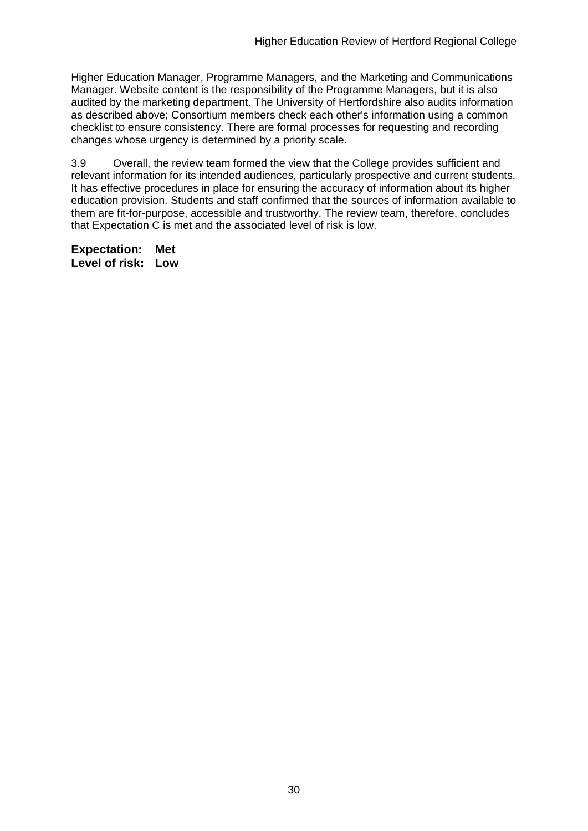Higher Education Manager, Programme Managers, and the Marketing and Communications Manager. Website content is the responsibility of the Programme Managers, but it is also audited by the marketing department. The University of Hertfordshire also audits information as described above; Consortium members check each other's information using a common checklist to ensure consistency. There are formal processes for requesting and recording changes whose urgency is determined by a priority scale.

3.9 Overall, the review team formed the view that the College provides sufficient and relevant information for its intended audiences, particularly prospective and current students. It has effective procedures in place for ensuring the accuracy of information about its higher education provision. Students and staff confirmed that the sources of information available to them are fit-for-purpose, accessible and trustworthy. The review team, therefore, concludes that Expectation C is met and the associated level of risk is low.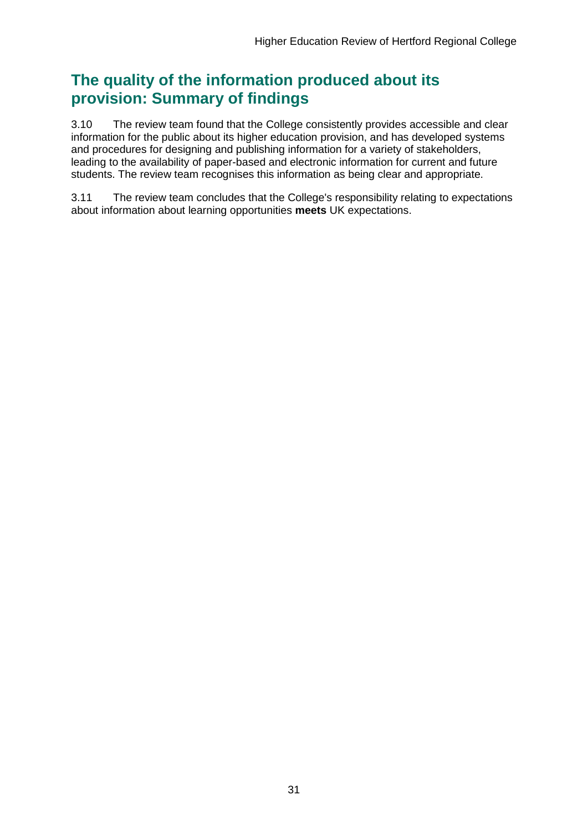## **The quality of the information produced about its provision: Summary of findings**

3.10 The review team found that the College consistently provides accessible and clear information for the public about its higher education provision, and has developed systems and procedures for designing and publishing information for a variety of stakeholders, leading to the availability of paper-based and electronic information for current and future students. The review team recognises this information as being clear and appropriate.

3.11 The review team concludes that the College's responsibility relating to expectations about information about learning opportunities **meets** UK expectations.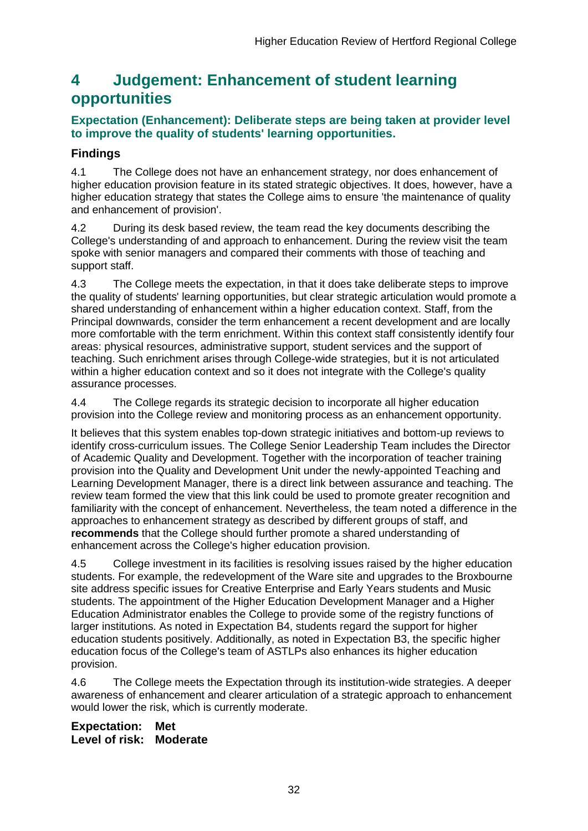## <span id="page-32-0"></span>**4 Judgement: Enhancement of student learning opportunities**

### **Expectation (Enhancement): Deliberate steps are being taken at provider level to improve the quality of students' learning opportunities.**

## **Findings**

4.1 The College does not have an enhancement strategy, nor does enhancement of higher education provision feature in its stated strategic objectives. It does, however, have a higher education strategy that states the College aims to ensure 'the maintenance of quality and enhancement of provision'.

4.2 During its desk based review, the team read the key documents describing the College's understanding of and approach to enhancement. During the review visit the team spoke with senior managers and compared their comments with those of teaching and support staff.

4.3 The College meets the expectation, in that it does take deliberate steps to improve the quality of students' learning opportunities, but clear strategic articulation would promote a shared understanding of enhancement within a higher education context. Staff, from the Principal downwards, consider the term enhancement a recent development and are locally more comfortable with the term enrichment. Within this context staff consistently identify four areas: physical resources, administrative support, student services and the support of teaching. Such enrichment arises through College-wide strategies, but it is not articulated within a higher education context and so it does not integrate with the College's quality assurance processes.

4.4 The College regards its strategic decision to incorporate all higher education provision into the College review and monitoring process as an enhancement opportunity.

It believes that this system enables top-down strategic initiatives and bottom-up reviews to identify cross-curriculum issues. The College Senior Leadership Team includes the Director of Academic Quality and Development. Together with the incorporation of teacher training provision into the Quality and Development Unit under the newly-appointed Teaching and Learning Development Manager, there is a direct link between assurance and teaching. The review team formed the view that this link could be used to promote greater recognition and familiarity with the concept of enhancement. Nevertheless, the team noted a difference in the approaches to enhancement strategy as described by different groups of staff, and **recommends** that the College should further promote a shared understanding of enhancement across the College's higher education provision.

4.5 College investment in its facilities is resolving issues raised by the higher education students. For example, the redevelopment of the Ware site and upgrades to the Broxbourne site address specific issues for Creative Enterprise and Early Years students and Music students. The appointment of the Higher Education Development Manager and a Higher Education Administrator enables the College to provide some of the registry functions of larger institutions. As noted in Expectation B4, students regard the support for higher education students positively. Additionally, as noted in Expectation B3, the specific higher education focus of the College's team of ASTLPs also enhances its higher education provision.

4.6 The College meets the Expectation through its institution-wide strategies. A deeper awareness of enhancement and clearer articulation of a strategic approach to enhancement would lower the risk, which is currently moderate.

### **Expectation: Met Level of risk: Moderate**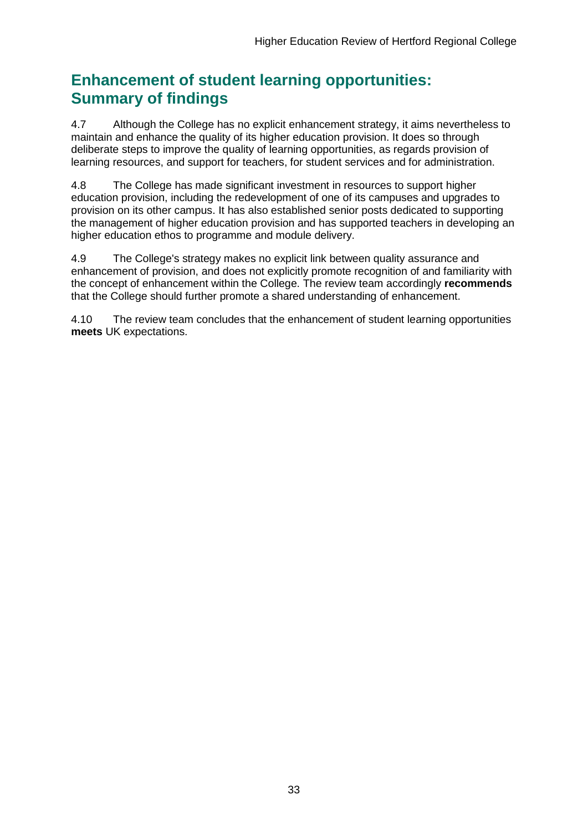## **Enhancement of student learning opportunities: Summary of findings**

4.7 Although the College has no explicit enhancement strategy, it aims nevertheless to maintain and enhance the quality of its higher education provision. It does so through deliberate steps to improve the quality of learning opportunities, as regards provision of learning resources, and support for teachers, for student services and for administration.

4.8 The College has made significant investment in resources to support higher education provision, including the redevelopment of one of its campuses and upgrades to provision on its other campus. It has also established senior posts dedicated to supporting the management of higher education provision and has supported teachers in developing an higher education ethos to programme and module delivery.

4.9 The College's strategy makes no explicit link between quality assurance and enhancement of provision, and does not explicitly promote recognition of and familiarity with the concept of enhancement within the College. The review team accordingly **recommends** that the College should further promote a shared understanding of enhancement.

4.10 The review team concludes that the enhancement of student learning opportunities **meets** UK expectations.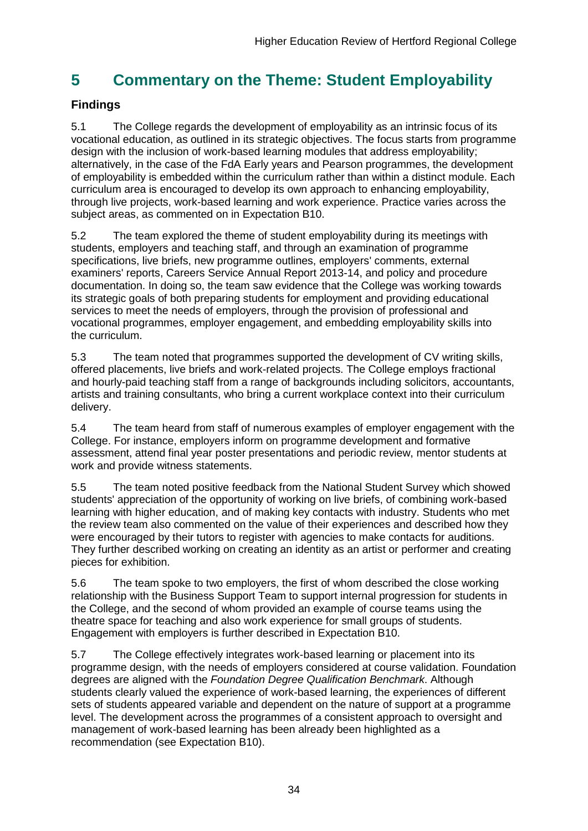## <span id="page-34-0"></span>**5 Commentary on the Theme: Student Employability**

## **Findings**

5.1 The College regards the development of employability as an intrinsic focus of its vocational education, as outlined in its strategic objectives. The focus starts from programme design with the inclusion of work-based learning modules that address employability; alternatively, in the case of the FdA Early years and Pearson programmes, the development of employability is embedded within the curriculum rather than within a distinct module. Each curriculum area is encouraged to develop its own approach to enhancing employability, through live projects, work-based learning and work experience. Practice varies across the subject areas, as commented on in Expectation B10.

5.2 The team explored the theme of student employability during its meetings with students, employers and teaching staff, and through an examination of programme specifications, live briefs, new programme outlines, employers' comments, external examiners' reports, Careers Service Annual Report 2013-14, and policy and procedure documentation. In doing so, the team saw evidence that the College was working towards its strategic goals of both preparing students for employment and providing educational services to meet the needs of employers, through the provision of professional and vocational programmes, employer engagement, and embedding employability skills into the curriculum.

5.3 The team noted that programmes supported the development of CV writing skills, offered placements, live briefs and work-related projects. The College employs fractional and hourly-paid teaching staff from a range of backgrounds including solicitors, accountants, artists and training consultants, who bring a current workplace context into their curriculum delivery.

5.4 The team heard from staff of numerous examples of employer engagement with the College. For instance, employers inform on programme development and formative assessment, attend final year poster presentations and periodic review, mentor students at work and provide witness statements.

5.5 The team noted positive feedback from the National Student Survey which showed students' appreciation of the opportunity of working on live briefs, of combining work-based learning with higher education, and of making key contacts with industry. Students who met the review team also commented on the value of their experiences and described how they were encouraged by their tutors to register with agencies to make contacts for auditions. They further described working on creating an identity as an artist or performer and creating pieces for exhibition.

5.6 The team spoke to two employers, the first of whom described the close working relationship with the Business Support Team to support internal progression for students in the College, and the second of whom provided an example of course teams using the theatre space for teaching and also work experience for small groups of students. Engagement with employers is further described in Expectation B10.

5.7 The College effectively integrates work-based learning or placement into its programme design, with the needs of employers considered at course validation. Foundation degrees are aligned with the *Foundation Degree Qualification Benchmark*. Although students clearly valued the experience of work-based learning, the experiences of different sets of students appeared variable and dependent on the nature of support at a programme level. The development across the programmes of a consistent approach to oversight and management of work-based learning has been already been highlighted as a recommendation (see Expectation B10).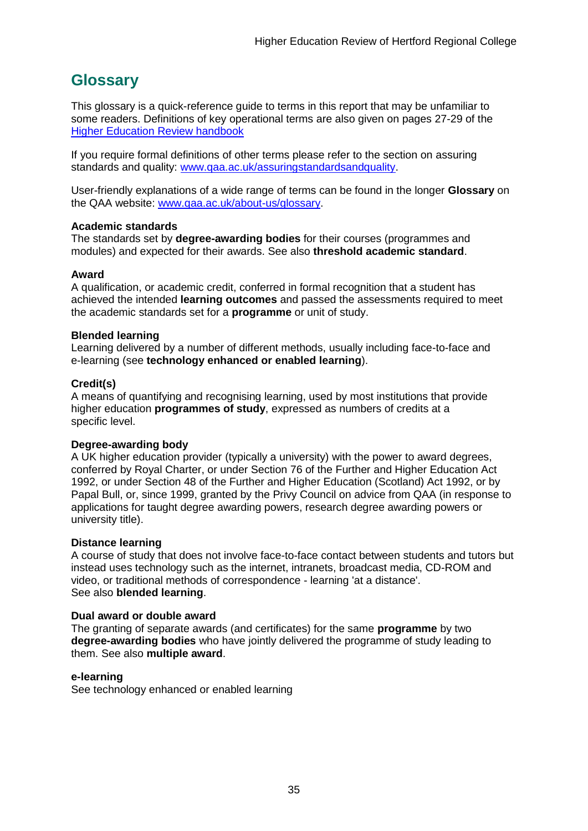## <span id="page-35-0"></span>**Glossary**

This glossary is a quick-reference guide to terms in this report that may be unfamiliar to some readers. Definitions of key operational terms are also given on pages 27-29 of the [Higher Education Review handbook](http://www.qaa.ac.uk/Publications/InformationAndGuidance/Pages/HER-handbook-13.aspx)

If you require formal definitions of other terms please refer to the section on assuring standards and quality: [www.qaa.ac.uk/assuringstandardsandquality.](http://www.qaa.ac.uk/assuringstandardsandquality/pages/default.aspx)

User-friendly explanations of a wide range of terms can be found in the longer **Glossary** on the QAA website: [www.qaa.ac.uk/about-us/glossary.](http://www.qaa.ac.uk/about-us/glossary)

### **Academic standards**

The standards set by **degree-awarding bodies** for their courses (programmes and modules) and expected for their awards. See also **threshold academic standard**.

#### **Award**

A qualification, or academic credit, conferred in formal recognition that a student has achieved the intended **learning outcomes** and passed the assessments required to meet the academic standards set for a **programme** or unit of study.

#### **Blended learning**

Learning delivered by a number of different methods, usually including face-to-face and e-learning (see **[technology enhanced or enabled learning](http://www.qaa.ac.uk/AboutUs/glossary/Pages/glossary-t.aspx#t1)**).

#### **Credit(s)**

A means of quantifying and recognising learning, used by most institutions that provide higher education **programmes of study**, expressed as numbers of credits at a specific level.

### **Degree-awarding body**

A UK [higher education provider](http://newlive.qaa.ac.uk/AboutUs/glossary/Pages/glossary-h.aspx#h2.1) (typically a [university\)](http://newlive.qaa.ac.uk/AboutUs/glossary/Pages/glossary-u-z.aspx#u4) with the power to award degrees, conferred by Royal Charter, or under Section 76 of the Further and Higher Education Act 1992, or under Section 48 of the Further and Higher Education (Scotland) Act 1992, or by Papal Bull, or, since 1999, granted by the Privy Council on advice from QAA (in response to applications for [taught degree awarding powers, research degree awarding powers or](http://newlive.qaa.ac.uk/AboutUs/DAP/Pages/default.aspx)  [university title\)](http://newlive.qaa.ac.uk/AboutUs/DAP/Pages/default.aspx).

#### **Distance learning**

A course of study that does not involve face-to-face contact between students and tutors but instead uses technology such as the internet, intranets, broadcast media, CD-ROM and video, or traditional methods of correspondence - learning 'at a distance'. See also **blended learning**.

#### **Dual award or double award**

The granting of separate awards (and certificates) for the same **programme** by two **degree-awarding bodies** who have jointly delivered the programme of study leading to them. See also **multiple award**.

#### **e-learning**

See technology enhanced or enabled learning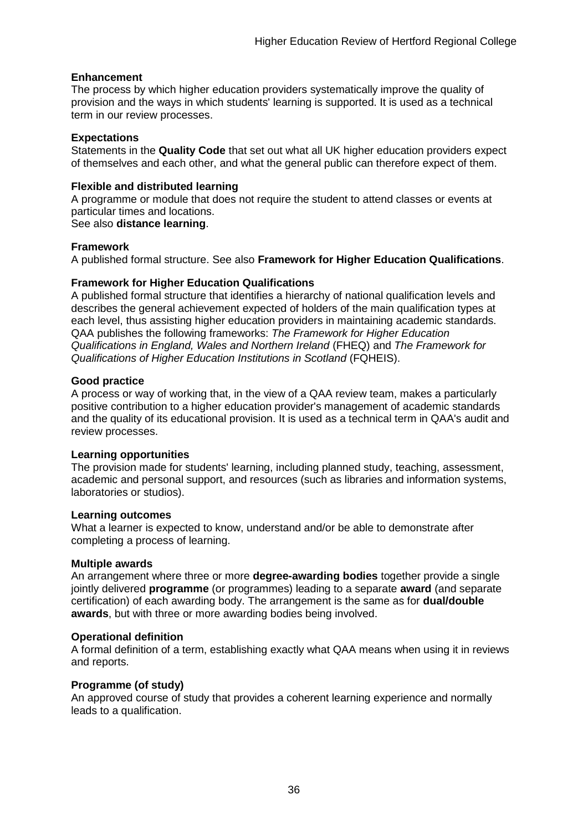### **Enhancement**

The process by which [higher education providers](http://www.qaa.ac.uk/AboutUs/glossary/Pages/glossary-h.aspx#h2.1) systematically improve the quality of provision and the ways in which students' learning is supported. It is used as a technical term in our review processes.

#### **Expectations**

Statements in the **Quality Code** that set out what all UK [higher education providers](http://newlive.qaa.ac.uk/AboutUs/glossary/Pages/glossary-h.aspx#h2.1) expect of themselves and each other, and what the general public can therefore expect of them.

### **Flexible and distributed learning**

A [programme](http://newlive.qaa.ac.uk/AboutUs/glossary/Pages/glossary-p.aspx#p12) or [module](http://newlive.qaa.ac.uk/AboutUs/glossary/Pages/glossary-m-o.aspx#m6) that does not require the student to attend classes or events at particular times and locations.

### See also **distance learning**.

### **Framework**

A published formal structure. See also **Framework for Higher Education Qualifications**.

### **Framework for Higher Education Qualifications**

A published formal structure that identifies a hierarchy of national qualification levels and describes the general achievement expected of holders of the main qualification types at each level, thus assisting higher education providers in maintaining academic standards. QAA publishes the following frameworks: *The Framework for Higher Education Qualifications in England, Wales and Northern Ireland* (FHEQ) and *The Framework for Qualifications of Higher Education Institutions in Scotland* (FQHEIS).

#### **Good practice**

A process or way of working that, in the view of a QAA review team, makes a particularly positive contribution to a higher education provider's management of academic standards and the quality of its educational provision. It is used as a technical term in QAA's audit and review processes.

### **Learning opportunities**

The provision made for students' learning, including planned study, teaching, assessment, academic and personal support, and resources (such as libraries and information systems, laboratories or studios).

#### **Learning outcomes**

What a learner is expected to know, understand and/or be able to demonstrate after completing a process of learning.

### **Multiple awards**

An arrangement where three or more **degree-awarding bodies** together provide a single jointly delivered **programme** (or programmes) leading to a separate **award** (and separate certification) of each awarding body. The arrangement is the same as for **dual/double awards**, but with three or more awarding bodies being involved.

### **Operational definition**

A formal definition of a term, establishing exactly what QAA means when using it in reviews and reports.

### **Programme (of study)**

An approved course of study that provides a coherent learning experience and normally leads to a qualification.